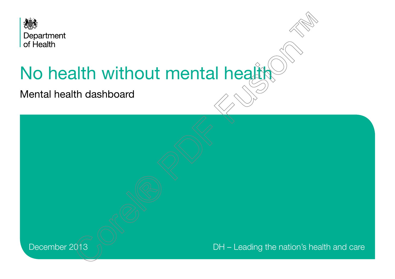

# No health without mental health

Mental health dashboard

December 2013  $\sqrt{ }$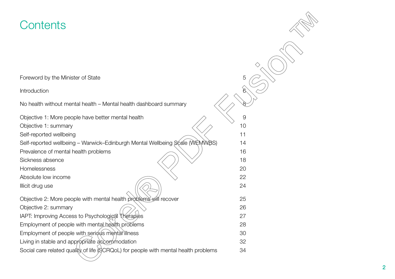# **Contents**

| Contents                                                                            |    |
|-------------------------------------------------------------------------------------|----|
|                                                                                     |    |
|                                                                                     |    |
| Foreword by the Minister of State                                                   | 5  |
| Introduction                                                                        | 6  |
| No health without mental health – Mental health dashboard summary                   |    |
| Objective 1: More people have better mental health                                  | 9  |
| Objective 1: summary                                                                | 10 |
| Self-reported wellbeing                                                             | 11 |
| Self-reported wellbeing - Warwick-Edinburgh Mental Wellbeing Scale (WEMWBS)         | 14 |
| Prevalence of mental health problems                                                | 16 |
| Sickness absence                                                                    | 18 |
| Homelessness                                                                        | 20 |
| Absolute low income                                                                 | 22 |
| Illicit drug use                                                                    | 24 |
| Objective 2: More people with mental health problems will recover                   | 25 |
| Objective 2: summary                                                                | 26 |
| IAPT: Improving Access to Psychological Therapies                                   | 27 |
| Employment of people with mental health problems                                    | 28 |
| Employment of people with serious mental illness                                    | 30 |
| Living in stable and appropriate accorpmodation                                     | 32 |
| Social care related quality of life (SCRQoL) for people with mental health problems | 34 |

仒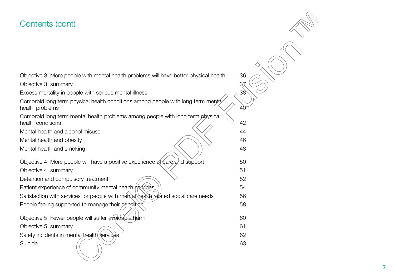# Contents (cont)

[Objective 3:](#page-35-0) [More people with mental health problems will have better physical health 36](#page-35-0) [Objective 3: summary](#page-36-0)[Excess mortality in people with serious mental illness](#page-37-0)  $\sim$ Comorbid long term physical health conditions among people with long term mental [health problems](#page-39-0) [Comorbid long term mental health problems among people with long term physical](#page-41-0)  [health conditions](#page-41-0)  $\sqrt{42}$ [Mental health and alcohol misuse](#page-43-0) [Mental health and obesity](#page-45-0)  $\sim$ [Mental health and smoking](#page-47-0)  $\setminus$ [Objective 4:](#page-49-0) More people will have a positive experience of care/and support 50 [Objective 4: summary](#page-50-0)[Detention and compulsory treatment](#page-51-0) [Patient experience of community mental health services](#page-53-0)[Satisfaction with services for people with mental health related social care needs](#page-55-0)[People feeling supported to manage their condition](#page-57-0) **Figure 10**[Objective 5:](#page-59-0) [Fewer people will suffer avoidable harm](#page-59-0)[Objective 5: summary](#page-60-0)[Safety incidents in mental health services](#page-61-0)  $\sim$ [Suicide](#page-62-0)  $($   $\wedge$   $)$ 

3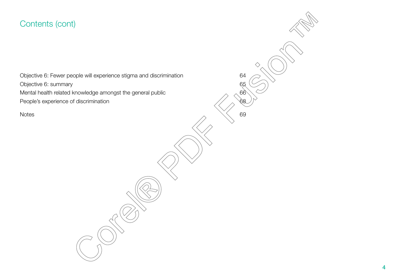# Contents (cont)

[Objective 6: summary](#page-64-0) 65 [Mental health related knowledge amongst the general public](#page-65-0)  $\sim 66$ [People's experience of discrimination](#page-67-0)

ぐ [Objective 6:](#page-63-0) [Fewer people will experience stigma and discrimination](#page-63-0) 64 [Notes](#page-68-0)  $\sim$  69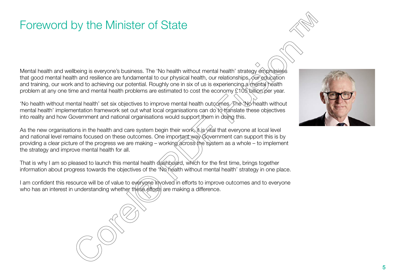# <span id="page-4-0"></span>Foreword by the Minister of State

Mental health and wellbeing is everyone's business. The 'No health without mental health' strategy emphasises that good mental health and resilience are fundamental to our physical health, our relationships, our education and training, our work and to achieving our potential. Roughly one in six of us is experiencing a mental health problem at any one time and mental health problems are estimated to cost the economy £105 billion per year.

'No health without mental health' set six objectives to improve mental health outcomes. The 'No health without mental health' implementation framework set out what local organisations can do to translate these objectives into reality and how Government and national organisations would support them in doing this.

As the new organisations in the health and care system begin their work, it is vital that everyone at local level and national level remains focused on these outcomes. One important way Government can support this is by providing a clear picture of the progress we are making – working across the system as a whole – to implement the strategy and improve mental health for all.

That is why I am so pleased to launch this mental health dashboard, which for the first time, brings together information about progress towards the objectives of the 'No health without mental health' strategy in one place.

I am confident this resource will be of value to everyone involved in efforts to improve outcomes and to everyone who has an interest in understanding whether these efforts are making a difference.

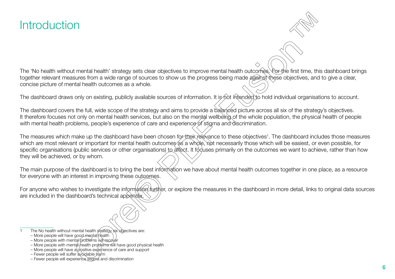# <span id="page-5-0"></span>**Introduction**

The 'No health without mental health' strategy sets clear objectives to improve mental health outcomes. For the first time, this dashboard brings together relevant measures from a wide range of sources to show us the progress being made against these objectives, and to give a clear, concise picture of mental health outcomes as a whole.

The dashboard draws only on existing, publicly available sources of information. It is not intended to hold individual organisations to account.

The dashboard covers the full, wide scope of the strategy and aims to provide a balanced picture across all six of the strategy's objectives. It therefore focuses not only on mental health services, but also on the mental wellbeing of the whole population, the physical health of people with mental health problems, people's experience of care and experience of stigma and discrimination.

The measures which make up the dashboard have been chosen for their relevance to these objectives<sup>1</sup>. The dashboard includes those measures which are most relevant or important for mental health outcomes as a whole, not necessarily those which will be easiest, or even possible, for specific organisations (public services or other organisations) to affect. It focuses primarily on the outcomes we want to achieve, rather than how they will be achieved, or by whom.

The main purpose of the dashboard is to bring the best information we have about mental health outcomes together in one place, as a resource for everyone with an interest in improving these outcomes.

For anyone who wishes to investigate the information further, or explore the measures in the dashboard in more detail, links to original data sources are included in the dashboard's technical appendix.

The No health without mental health strategy six objectives are:

<sup>–</sup> More people will have good mental health

<sup>–</sup> More people with mental problems will recover

<sup>–</sup> More people with mental nealth problems will have good physical health

<sup>–</sup> More people will have a positive experience of care and support

<sup>–</sup> Fewer people will suffer avoidable harm

<sup>–</sup> Fewer people will experience stigma and discrimination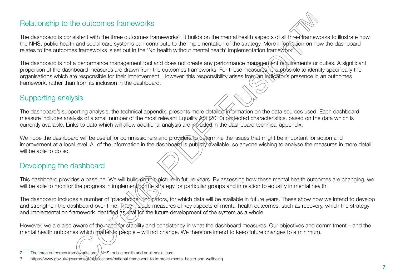## Relationship to the outcomes frameworks

The dashboard is consistent with the three outcomes frameworks<sup>2</sup>. It builds on the mental health aspects of all three frameworks to illustrate how the NHS, public health and social care systems can contribute to the implementation of the strategy. More information on how the dashboard relates to the outcomes frameworks is set out in the 'No health without mental health' implementation frame@vrk<sup>3</sup>.

The dashboard is not a performance management tool and does not create any performance management requirements or duties. A significant proportion of the dashboard measures are drawn from the outcomes frameworks. For these measures, it is possible to identify specifically the organisations which are responsible for their improvement. However, this responsibility arises from an indicator's presence in an outcomes framework, rather than from its inclusion in the dashboard.

## Supporting analysis

The dashboard's supporting analysis, the technical appendix, presents more detailed information on the data sources used. Each dashboard measure includes analysis of a small number of the most relevant Equality Act (2010) protected characteristics, based on the data which is currently available. Links to data which will allow additional analysis are included in the dashboard technical appendix.

We hope the dashboard will be useful for commissioners and providers to determine the issues that might be important for action and improvement at a local level. All of the information in the dashboard is publicly available, so anyone wishing to analyse the measures in more detail will be able to do so.

## Developing the dashboard

This dashboard provides a baseline. We will build on this picture in future years. By assessing how these mental health outcomes are changing, we will be able to monitor the progress in implementing the strategy for particular groups and in relation to equality in mental health.

The dashboard includes a number of 'placeholder indicators, for which data will be available in future years. These show how we intend to develop and strengthen the dashboard over time. The vinclude measures of key aspects of mental health outcomes, such as recovery, which the strategy and implementation framework identified as *xital* for the future development of the system as a whole.

However, we are also aware of the need for stability and consistency in what the dashboard measures. Our objectives and commitment – and the mental health outcomes which matter to people – will not change. We therefore intend to keep future changes to a minimum.

<sup>2</sup> The three outcomes frameworks are  $\neq$  NHS, public health and adult social care

<sup>3</sup> <https://www.gov.uk/government/publications/national-framework-to-improve-mental-health-and-wellbeing>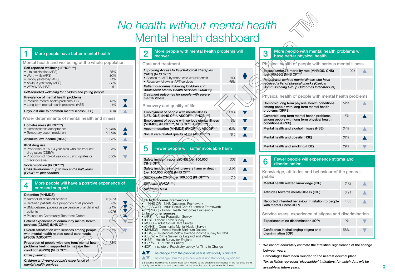# *No health without mental health* Mental health dashboard



#### <span id="page-7-0"></span>More people have better mental health

#### Mental health and wellbeing of the whole population

| Self-reported wellbeing (PHOF****)<br>• Life satisfaction (APS)<br>• Worthwhile (APS)<br>• Happy yesterday (APS)<br>• Anxious yesterday (APS)<br>• WEMWBS (HSE) | 76%<br>80%<br>71%<br>60%<br>51 |  |
|-----------------------------------------------------------------------------------------------------------------------------------------------------------------|--------------------------------|--|
| Self-reported wellbeing for children and young people                                                                                                           |                                |  |
| Prevalence of mental health problems<br>• Possible mental health problems (HSE)<br>• Long term mental health problems (HSE)                                     | 15%<br>4%                      |  |
| Days lost due to common mental illness (LFS)                                                                                                                    | 12m                            |  |
| Wider determinants of mental health and illness                                                                                                                 |                                |  |
| Homelessness (PHOF****)<br>• Homelessness acceptances<br>• Temporary accommodation                                                                              | 53,450<br>53,130               |  |
| Absolute low income (HBAI)*                                                                                                                                     | 23%                            |  |
| Illicit drug use<br>• Proportion of 16-24 year-olds who are frequent<br>drug users (CSEW)<br>• Proportion of 15-64 year-olds using opiates or<br>crack cocaine  | 5%<br>0.9%                     |  |
| Social isolation (PHOF****)<br>Child development up to two and a half years<br>(PHOF**** placeholder)                                                           |                                |  |

#### **4** More people will have a positive experience of care and support



#### 2 More people with mental health problems will recover Care and treatment *Improving Access to Psychological Therapies (IAPT) (NHS OF\*\*)* • Access to IAPT by those who would benefit • Recovery following IAPT services *10% 46% Patient outcomes following Children and Adolescent Mental Health Services (CAMHS) Treatment outcomes for people with severe mental illness* Recovery and quality of life Employment of people with mental illness (LFS, ONS) (NHS OF\*\*, ASCOF\*\*\*, PHOF\*\*\*\*) *28%* Employment of people with serious mental illness (MHMDS) (PHOF\*\*\*\*, NHS OF\*\*, ASCOF\*\*\*) *8%* Accommodation (MHMDS) (PHOF\*\*\*\*, ASCOF\*\*\*) *62%*

Social care related quality of life (ASCOF<sup>\*\*\*</sup>) **18.1** 

| 5                                                                                         | Fewer people will suffer avoidable harm                                                                                                                                                                                                                                                                                                                                                                                                                                                                                               |     |  |  |  |
|-------------------------------------------------------------------------------------------|---------------------------------------------------------------------------------------------------------------------------------------------------------------------------------------------------------------------------------------------------------------------------------------------------------------------------------------------------------------------------------------------------------------------------------------------------------------------------------------------------------------------------------------|-----|--|--|--|
|                                                                                           | Safety incident reports (ONS) (per 100,000)<br>(NHS OF <sup>(*)</sup>                                                                                                                                                                                                                                                                                                                                                                                                                                                                 | 302 |  |  |  |
| Safety incidents involving severe harm or death<br>2.93<br>(per 100,000) (ONS) (NHS OF**) |                                                                                                                                                                                                                                                                                                                                                                                                                                                                                                                                       |     |  |  |  |
| Suicide rate (ONS) (per 100,000) (PHOF****)                                               | 7.9                                                                                                                                                                                                                                                                                                                                                                                                                                                                                                                                   |     |  |  |  |
|                                                                                           | Self harm (PHOF****)                                                                                                                                                                                                                                                                                                                                                                                                                                                                                                                  |     |  |  |  |
|                                                                                           | Restraint (TBC)                                                                                                                                                                                                                                                                                                                                                                                                                                                                                                                       |     |  |  |  |
|                                                                                           |                                                                                                                                                                                                                                                                                                                                                                                                                                                                                                                                       |     |  |  |  |
|                                                                                           | Link to Outcomes Frameworks:<br>** (NHS OF) - NHS Outcomes Framework<br>(ASCOF) - Adult Social Care Outcomes Framework<br>****(PHOF) - Public Health Outcomes Framework<br>Links to other sources:<br>(APS) - Annual Population Survey<br>• (LFS) – Labour Force Survey<br>• (ASCS) - Adult Social Care Survey<br>(CMHS) – Community Mental Health Survey<br>• (MHMDS) – Mental Health Minimum Dataset<br>• (HBAI) – Households below average income survey for DWP<br>$(OPTIM$ $Q_{\text{max}} Q_{\text{max}}$ for England and Wales |     |  |  |  |

- (CSEW) Crime Survey for England and Wales
- (HSE) Health Survey for England
- (GPPS) GP Patient Survey
- (IOP) Institute of Psychiatry survey for Time to Change

#### **AV** The change from the previous year is statistically significant<sup>†</sup>

#### A The change from the previous year is not statistically significant

† Statistical significance is a technical term related to the degree of confidence in the reported trend, mostly due to the size and composition of the samples used to generate the figures.

| 3                                                     | More people with mental health problems will<br>have better physical health                                                                       |     |  |  |  |  |
|-------------------------------------------------------|---------------------------------------------------------------------------------------------------------------------------------------------------|-----|--|--|--|--|
| Physical health of people with serious mental illness |                                                                                                                                                   |     |  |  |  |  |
|                                                       | Excess under /5 mortality rate (MHMDS, ONS)<br>(per 100,000) (NHS OF**)*                                                                          | 921 |  |  |  |  |
|                                                       | People with serious mental illness who have<br>regeived a list of physical checks (Clinical<br><b>Commissioning Group Outcomes Indicator Set)</b> |     |  |  |  |  |
| Physical health of people with mental health problems |                                                                                                                                                   |     |  |  |  |  |
|                                                       | Comorbid long term physcial health conditions<br>among people with long term mental health<br>problems (GPPS)                                     | 52% |  |  |  |  |
|                                                       | Comorbid long term mental health problems<br>among people with long term physical health<br>conditions (GPPS)                                     | 5%  |  |  |  |  |
|                                                       | Mental health and alcohol misuse (HSE)                                                                                                            | 34% |  |  |  |  |
|                                                       | Mental health and obesity (HSE)                                                                                                                   | 32% |  |  |  |  |
|                                                       | Mental health and smoking (HSE)                                                                                                                   | 29% |  |  |  |  |

#### **6** Fewer people will experience stigma and discrimination

| Knowledge, attitudes and behaviour of the general<br>public                    |      |  |  |  |
|--------------------------------------------------------------------------------|------|--|--|--|
| Mental health related knowledge (IOP)                                          | 3.72 |  |  |  |
| Attitudes towards mental illness (IOP)                                         | 3.91 |  |  |  |
| Reported intended behaviour in relation to people<br>with mental illness (IOP) | 4.05 |  |  |  |
| Service users' experience of stigma and discrimination                         |      |  |  |  |
| Experience of no discrimination (IOP)                                          | 9%   |  |  |  |
| Confidence in challenging stigma and<br>discrimination (IOP)                   | 58%  |  |  |  |

We cannot accurately estimate the statistical significance of the change between years.

 Percentages have been rounded to the nearest decimal place. *Text in italics represent 'placeholder' indicators, for which data will be available in future years*.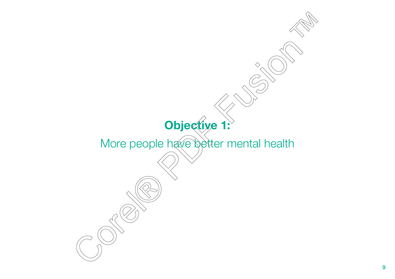<span id="page-8-0"></span>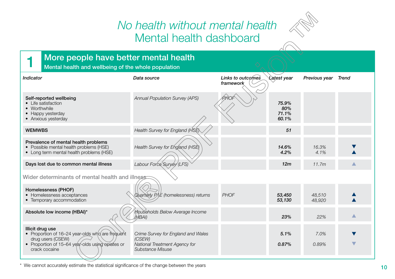# *No health without mental health* Mental health dashboard



## <span id="page-9-0"></span>**1** More people have better mental health

Mental health and wellbeing of the whole population

| <b>Indicator</b>                                                                                                                                               | Data source                                                                                       | Links to outcomes<br>framework | Latest year                    | Previous year    | Trend |  |  |
|----------------------------------------------------------------------------------------------------------------------------------------------------------------|---------------------------------------------------------------------------------------------------|--------------------------------|--------------------------------|------------------|-------|--|--|
| Self-reported wellbeing<br>• Life satisfaction<br>• Worthwhile<br>• Happy yesterday<br>• Anxious yesterday                                                     | <b>Annual Population Survey (APS)</b>                                                             | PHOF                           | 75.9%<br>80%<br>71.1%<br>60.1% |                  |       |  |  |
| <b>WEMWBS</b>                                                                                                                                                  | Health Survey for England (HSE)                                                                   |                                | 51                             |                  |       |  |  |
| Prevalence of mental health problems<br>• Possible mental health problems (HSE)<br>• Long term mental health problems (HSE)                                    | Health Survey for England (HSE)                                                                   |                                | 14.6%<br>4.2%                  | 16.3%<br>4.1%    |       |  |  |
| Days lost due to common mental illness                                                                                                                         | Labour Force Survey (LFS)                                                                         |                                | 12m                            | 11.7m            |       |  |  |
| Wider determinants of mental health and illness                                                                                                                |                                                                                                   |                                |                                |                  |       |  |  |
| Homelessness (PHOF)<br>• Homelessness acceptances<br>• Temporary accommodation                                                                                 | Quarterly $P\!/\!\!/E$ (homelessness) returns                                                     | PHOF                           | 53,450<br>53,130               | 48,510<br>48,920 |       |  |  |
| Absolute low income (HBAI)*                                                                                                                                    | <b>Households Below Average Income</b><br>'HBAI)                                                  |                                | 23%                            | 22%              | ▲     |  |  |
| Illicit drug use<br>• Proportion of 16-24 year-olds who are frequent<br>drug users (CSEW)<br>• Proportion of 15-64 year-olds using opiates or<br>crack cocaine | Crime Survey for England and Wales<br>(CSEW)<br>National Treatment Agency for<br>Substance Misuse |                                | 5.1%<br>0.87%                  | 7.0%<br>0.89%    |       |  |  |

\* We cannot accurately estimate the statistical significance of the change between the years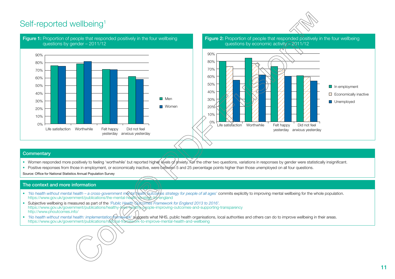# <span id="page-10-0"></span>Self-reported wellbeing<sup>[1](#page-68-0)</sup>







Figure 2: Proportion of people that responded positively in the four wellbeing questions by economic activity – 2011/12



#### **Commentary**

- Women responded more positively to feeling 'worthwhile' but reported higher levels of anxiety. For the other two questions, variations in responses by gender were statistically insignificant.
- Positive responses from those in employment, or economically inactive, were between 5 and 25 percentage points higher than those unemployed on all four questions.

Source: Office for National Statistics Annual Population Survey

- *'No health without mental health a cross-government mental health outcomes strategy for people of all ages'* commits explicitly to improving mental wellbeing for the whole population. <https://www.gov.uk/government/publications/the-mental-health-strategy-for-england>
- Subjective wellbeing is measured as part of the *'Public Health Outcomes Framework for England 2013 to 2016'.* busyout to the string is measured as part of the transparency https://www.gov.uk/government/publications/healthy-jives-healthy-people-improving-outcomes-and-supporting-transparency <http://www.phoutcomes.info/>
- *'No health without mental health: implementation framework'* suggests what NHS, public health organisations, local authorities and others can do to improve wellbeing in their areas. <https://www.gov.uk/government/publications/national-framework-to-improve-mental-health-and-wellbeing>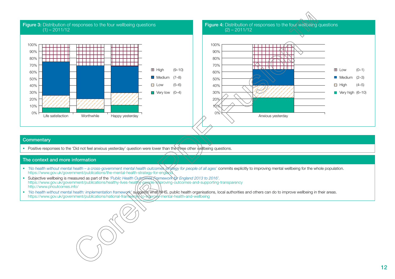

• Positive responses to the 'Did not feel anxious yesterday' question were lower than the three other wellbeing questions.

- *'No health without mental health a cross-government mental health outcomes strategy for people of all ages'* commits explicitly to improving mental wellbeing for the whole population. <https://www.gov.uk/government/publications/the-mental-health-strategy-for-england>
- Subjective wellbeing is measured as part of the *'Public Health Outcomes Framework for England 2013 to 2016'.* <https://www.gov.uk/government/publications/healthy-lives-healthy-people-improving-outcomes-and-supporting-transparency> <http://www.phoutcomes.info/>
- *'No health without mental health: implementation framework'* suggests what NHS, public health organisations, local authorities and others can do to improve wellbeing in their areas. <https://www.gov.uk/government/publications/national-framework-to-improve-mental-health-and-wellbeing>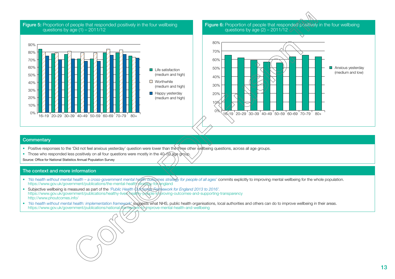#### Figure 5: Proportion of people that responded positively in the four wellbeing questions by age  $(1) - 2011/12$



Figure 6: Proportion of people that responded positively in the four wellbeing questions by age  $(2) - 2011/12$ 



#### **Commentary**

- Positive responses to the 'Did not feel anxious yesterday' question were lower than the three other wellbeing questions, across all age groups.
- Those who responded less positively on all four questions were mostly in the 40–59 age group.

Source: Office for National Statistics Annual Population Survey

- *'No health without mental health a cross-government mental health outcomes strategy for people of all ages'* commits explicitly to improving mental wellbeing for the whole population. <https://www.gov.uk/government/publications/the-mental-health-strategy-for-england>
- Subjective wellbeing is measured as part of the *'Public Health Outcomes Framework for England 2013 to 2016'.* https://www.gov.uk/government/publications/healthy-lives-healthy-people-in/proving-outcomes-and-supporting-transparency <http://www.phoutcomes.info/>
- *'No health without mental health: implementation framework'* suggests what NHS, public health organisations, local authorities and others can do to improve wellbeing in their areas. <https://www.gov.uk/government/publications/national-framework-to-improve-mental-health-and-wellbeing>

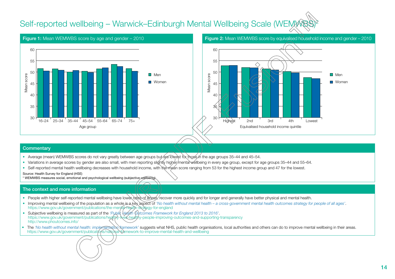# <span id="page-13-0"></span>Self-reported wellbeing – Warwick–Edinburgh Mental Wellbeing Scale (WEM)



#### Figure 1: Mean WEMWBS score by age and gender – 2010 Figure 2: Mean WEMWBS score by equivalised household income and gender – 2010



#### **Commentary**

- Average (mean) WEMWBS scores do not vary greatly between age groups but are lowest for those in the age groups 35–44 and 45–54.
- Variations in average scores by gender are also small, with men reporting slightly higher/mental wellbeing in every age group, except for age groups 35–44 and 55–64.
- Self-reported mental health wellbeing decreases with household income, with the mean score ranging from 53 for the highest income group and 47 for the lowest.

#### Source: Health Survey for England (HSE)

\* WEMWBS measures social, emotional and psychological wellbeing (subjective wellbeing).

- People with higher self-reported mental wellbeing have lower rates of illness, recover more quickly and for longer and generally have better physical and mental health.
- Improving mental wellbeing of the population as a whole is a key aspect of *'No health without mental health a cross-government mental health outcomes strategy for people of all ages'*. <https://www.gov.uk/government/publications/the-mental-health-strategy-for-england>
- Subjective wellbeing is measured as part of the 'Public Health Qutcomes Framework for England 2013 to 2016'. <https://www.gov.uk/government/publications/healthy-lives-healthy-people-improving-outcomes-and-supporting-transparency> <http://www.phoutcomes.info/>
- The 'No health without mental health: implementation framework' suggests what NHS, public health organisations, local authorities and others can do to improve mental wellbeing in their areas. <https://www.gov.uk/government/publications/national-framework-to-improve-mental-health-and-wellbeing>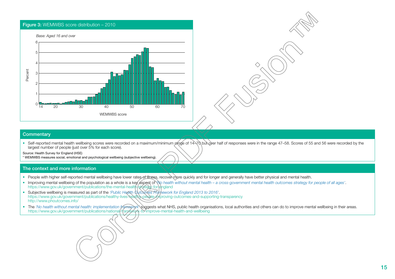

• Self-reported mental health wellbeing scores were recorded on a maximum/minimum range of 14–70 but over half of responses were in the range 47–58. Scores of 55 and 56 were recorded by the largest number of people (just over 5% for each score).

Source: Health Survey for England (HSE)

\* WEMWBS measures social, emotional and psychological wellbeing (subjective wellbeing).

- People with higher self-reported mental wellbeing have lower rates of illness, recover more quickly and for longer and generally have better physical and mental health.
- Improving mental wellbeing of the population as a whole is a key aspect of *\*\o health without mental health a cross-government mental health outcomes strategy for people of all ages'. <https://www.gov.uk/government/publications/the-mental-health-strategy-for-england>
- Subjective wellbeing is measured as part of the *'Public Health Outcomes Framework for England 2013 to 2016'*. <https://www.gov.uk/government/publications/healthy-lives-healthy-people-improving-outcomes-and-supporting-transparency> <http://www.phoutcomes.info/>
- The 'No health without mental health: implementation framework suggests what NHS, public health organisations, local authorities and others can do to improve mental wellbeing in their areas. <https://www.gov.uk/government/publications/national-framework-to-improve-mental-health-and-wellbeing>

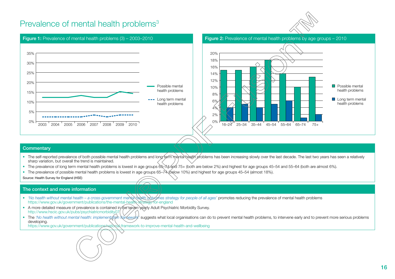## <span id="page-15-0"></span>Prevalence of mental health problems<sup>[3](#page-69-0)</sup>







#### **Commentary**

- The self-reported prevalence of both possible mental health problems and long term mental health problems has been increasing slowly over the last decade. The last two years has seen a relatively sharp variation, but overall the trend is maintained.
- The prevalence of long term mental health problems is lowest in age groups  $65-\frac{74}{40}$  (both are below 2%) and highest for age groups 45–54 and 55–64 (both are almost 6%).
- The prevalence of possible mental health problems is lowest in age groups 65–74 (below 10%) and highest for age groups 45–54 (almost 18%).

Source: Health Survey for England (HSE)

#### The context and more information

- *'No health without mental health a cross-government mental health outcomes strategy for people of all ages'* promotes reducing the prevalence of mental health problems <https://www.gov.uk/government/publications/the-mental-health-strategy-for-england>
- A more detailed measure of prevalence is contained in the seven-yearly Adult Psychiatric Morbidity Survey. <http://www.hscic.gov.uk/pubs/psychiatricmorbidity07>
- The 'No health without mental health: implementation rainework' suggests what local organisations can do to prevent mental health problems, to intervene early and to prevent more serious problems developing.

<https://www.gov.uk/government/publications/national-framework-to-improve-mental-health-and-wellbeing>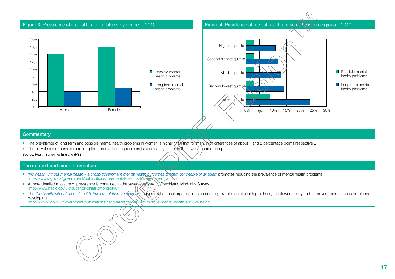

- The prevalence of long term and possible mental health problems in women is higher than that for men, with differences of about 1 and 2 percentage points respectively.
- The prevalence of possible and long term mental health problems is significantly higher in the lowest income group.

Source: Health Survey for England (HSE)

#### The context and more information

- *'No health without mental health a cross-government mental health outcomes strategy for people of all ages'* promotes reducing the prevalence of mental health problems <https://www.gov.uk/government/publications/the-mental-health-strategy-for-england>
- A more detailed measure of prevalence is contained in the seven-yearly Adult Psychiatric Morbidity Survey. <http://www.hscic.gov.uk/pubs/psychiatricmorbidity07>
- The 'No health without mental health: implementation framework' suggests what local organisations can do to prevent mental health problems, to intervene early and to prevent more serious problems developing.

<https://www.gov.uk/government/publications/national-framework-to-improve-mental-health-and-wellbeing>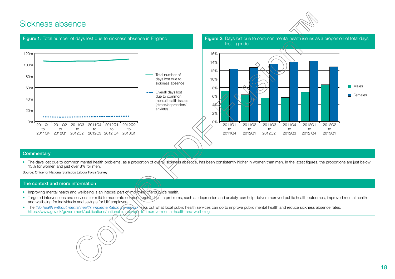## <span id="page-17-0"></span>Sickness absence





#### **Commentary**

• The days lost due to common mental health problems, as a proportion of overall sickness absence, has been consistently higher in women than men. In the latest figures, the proportions are just below 13% for women and just over 8% for men.

Source: Office for National Statistics Labour Force Survey

- Improving mental health and wellbeing is an integral part of improving the public's health.
- Targeted interventions and services for mild to moderate common mental health problems, such as depression and anxiety, can help deliver improved public health outcomes, improved mental health and wellbeing for individuals and savings for UK employers.
- The 'No health without mental health: implementation framework sets out what local public health services can do to improve public mental health and reduce sickness absence rates. <https://www.gov.uk/government/publications/national-framework-to-improve-mental-health-and-wellbeing>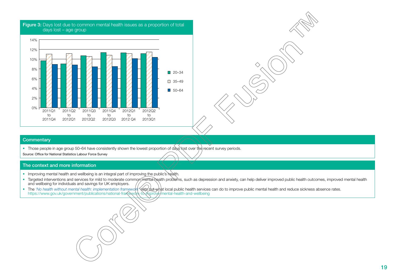

# Figure 3: Days lost due to common mental health issues as a proportion of total

#### **Commentary**

• Those people in age group 50–64 have consistently shown the lowest proportion of days lost over the recent survey periods.

Source: Office for National Statistics Labour Force Survey

- Improving mental health and wellbeing is an integral part of improving the public's health.
- Targeted interventions and services for mild to moderate common mental health problems, such as depression and anxiety, can help deliver improved public health outcomes, improved mental health and wellbeing for individuals and savings for UK employers.
- The 'No health without mental health: implementation framework<sup>x</sup>sets out what local public health services can do to improve public mental health and reduce sickness absence rates. https://www.gov.uk/government/publications/national-franؤework-to-improve-mental-health-and-wellbeing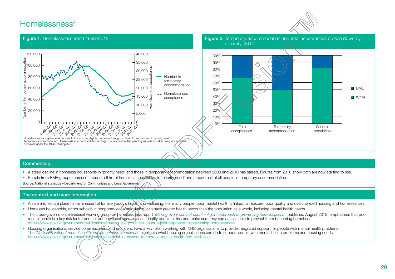## <span id="page-19-0"></span>Homelessness<sup>[4](#page-69-0)</sup>





#### **Commentary**

- A steep decline in homeless households in 'priority need' and those in temporary accommodation between 2003 and 2010 has stalled. Figures from 2010 show both are now starting to rise.
- People from BME groups represent around a third of homeless households in 'priority need' and around half of all people in temporary accommodation.

H くく ノム

Source: National statistics - Department for Communities and Local Government

- A safe and secure place to live is essential for everybody's health and wellbeing. For many people, poor mental health is linked to insecure, poor quality and overcrowded housing and homelessness.
- Homeless households, or households in temporary accommodation, can have greater health needs than the population as a whole, including mental health needs.
- The cross-government ministerial working group omhomelessness report 'Making every contact count A joint approach to preventing homelessness', published August 2012, emphasises that poor mental health is a key risk factor and set out how local agencies can identify people at risk and make sure they can access help to prevent them becoming homeless. <https://www.gov.uk/government/publications/making-every-contact-count-a-joint-approach-to-preventing-homelessness>
- Housing organisations, service commissioners and providers, have a key role in working with NHS organisations to provide integrated support for people with mental health problems. The *'No health without mental health: implementation framework'* highlights what housing organisations can do to support people with mental health problems and housing needs. <https://www.gov.uk/government/publications/national-framework-to-improve-mental-health-and-wellbeing>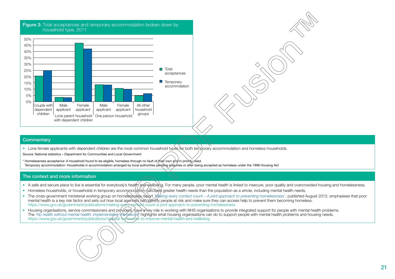

• Lone female applicants with dependent children are the most common household types for both temporary accommodation and homeless households.

Source: National statistics – Department for Communities and Local Government

\* Homelessness acceptance: A household found to be eligible, homeless through no fault of their own and in priority need. Temporary accommodation: Households in accommodation arranged by local authorities pending enquiries or after being accepted as homeless under the 1996 Housing Act

- A safe and secure place to live is essential for everybody's health and wellbeing. For many people, poor mental health is linked to insecure, poor quality and overcrowded housing and homelessness.
- Homeless households, or households in temporary accommodation, can have greater health needs than the population as a whole, including mental health needs.
- The cross-government ministerial working group on homelessness report *'Making every contact count A joint approach to preventing homelessness'*, published August 2012, emphasises that poor mental health is a key risk factor and sets out how local agencies can identify people at risk and make sure they can access help to prevent them becoming homeless. https://www.gov.uk/government/publications/making-every-sontact-count-a-joint-approach-to-preventing-homelessness
- Housing organisations, service commissioners and providers, have a key role in working with NHS organisations to provide integrated support for people with mental health problems. The *'No health without mental health: implementation framework'* highlights what housing organisations can do to support people with mental health problems and housing needs. <https://www.gov.uk/government/publications/national-framework-to-improve-mental-health-and-wellbeing>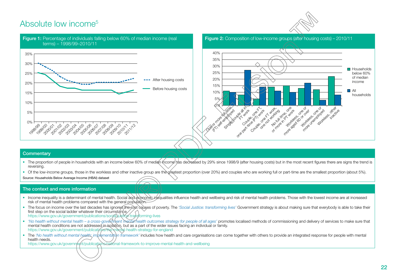# <span id="page-21-0"></span>Absolute low income[5](#page-69-0)





#### **Commentary**

- The proportion of people in households with an income below 60% of median income has decreased by 29% since 1998/9 (after housing costs) but in the most recent figures there are signs the trend is reversing.
- Of the low-income groups, those in the workless and other inactive group are the greatest proportion (over 20%) and couples who are working full or part-time are the smallest proportion (about 5%).

Source: Households Below Average Income (HBAI) dataset

#### The context and more information

- Income inequality is a determinant of mental health. Social and estonomic inequalities influence health and wellbeing and risk of mental health problems. Those with the lowest income are at increased risk of mental health problems compared with the general population.
- The focus on income over the last decades has ignored the root causes of poverty. The *'Social Justice: transforming lives'* Government strategy is about making sure that everybody is able to take their first step on the social ladder whatever their circumstance. <https://www.gov.uk/government/publications/social-justice-transforming-lives>
- *'No health without mental health a cross-government mental health outcomes strategy for people of all ages'* promotes localised methods of commissioning and delivery of services to make sure that mental health conditions are not addressed in isolation, but as a part of the wider issues facing an individual or family. <https://www.gov.uk/government/publications/the-mental-health-strategy-for-england>
- The *'No health without mental health: imblementation framework'* includes how health and care organisations can come together with others to provide an integrated response for people with mental health needs.

<https://www.gov.uk/government/publications/national-framework-to-improve-mental-health-and-wellbeing>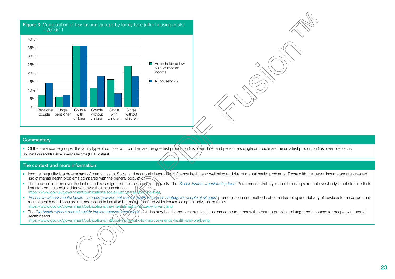



• Of the low-income groups, the family type of couples with children are the greatest proportion (just dver 35%) and pensioners single or couple are the smallest proportion (just over 5% each).

Source: Households Below Average Income (HBAI) dataset

#### The context and more information

- Income inequality is a determinant of mental health. Social and economic inequalities influence health and wellbeing and risk of mental health problems. Those with the lowest income are at increased risk of mental health problems compared with the general population.
- The focus on income over the last decades has ignored the roof causes of poverty. The *'Social Justice: transforming lives'* Government strategy is about making sure that everybody is able to take their first step on the social ladder whatever their circumstance. https://www.gov.uk/government/publications/social-justiceNransforming-
- *'No health without mental health a cross-government mental health outcomes strategy for people of all ages'* promotes localised methods of commissioning and delivery of services to make sure that mental health conditions are not addressed in isolation but as a part of the wider issues facing an individual or family. <https://www.gov.uk/government/publications/the-mental-health-strategy-for-england>
- The 'No health without mental health: implementation framework' includes how health and care organisations can come together with others to provide an integrated response for people with mental health needs.

<https://www.gov.uk/government/publications/national-framework-to-improve-mental-health-and-wellbeing>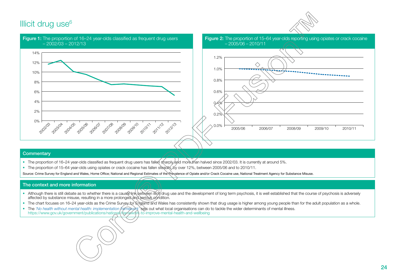# <span id="page-23-0"></span>Illicit drug use $6$





#### **Commentary**

- The proportion of 16–24 year-olds classified as frequent drug users has fallen sharply and more than halved since 2002/03. It is currently at around 5%.
- The proportion of 15–64 year-olds using opiates or crack cocaine has fallen steadily, by over 12%, between 2005/06 and to 2010/11.

Source: Crime Survey for England and Wales, Home Office; National and Regional Estimates of the Prevalence of Opiate and/or Crack Cocaine use, National Treatment Agency for Substance Misuse.

- Although there is still debate as to whether there is a causa Nink between illicit/drug use and the development of long term psychosis, it is well established that the course of psychosis is adversely affected by substance misuse, resulting in a more prolonged and serious condition.
- The chart focuses on 16–24 year-olds as the Crime Survey for England and Wales has consistently shown that drug usage is higher among young people than for the adult population as a whole.
- The *'No health without mental health: implementation framework'* sets out what local organisations can do to tackle the wider determinants of mental illness. <https://www.gov.uk/government/publications/national-framework-to-improve-mental-health-and-wellbeing>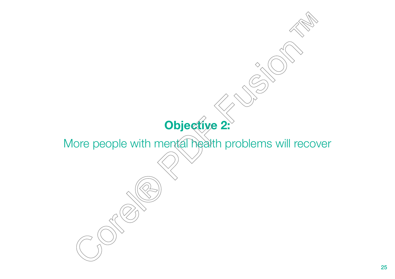# <span id="page-24-0"></span> $\Diamond$ **Objective 2:**  More people with mental health problems will recover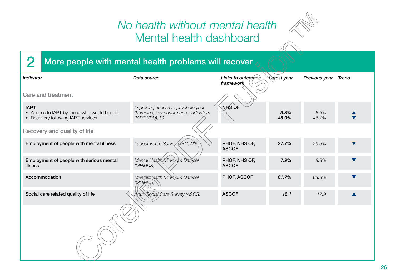# *No health without mental health* Mental health dashboard



# <span id="page-25-0"></span>2 More people with mental health problems will recover

| <b>Indicator</b>                                                                                 | Data source                                                                                   | Links to outcomes<br>framework | <b>Latest year</b> | Previous year | <b>Trend</b> |
|--------------------------------------------------------------------------------------------------|-----------------------------------------------------------------------------------------------|--------------------------------|--------------------|---------------|--------------|
| <b>Care and treatment</b>                                                                        |                                                                                               |                                |                    |               |              |
| <b>IAPT</b><br>• Access to IAPT by those who would benefit<br>• Recovery following IAPT services | Improving access to psychological<br>therapies, key performance indicators<br>(IAPT KPIs), IC | <b>NHSOF</b>                   | 9.8%<br>45.9%      | 8.6%<br>46.1% |              |
| Recovery and quality of life                                                                     |                                                                                               |                                |                    |               |              |
| Employment of people with mental illness                                                         | Labour Force Survey and ONS                                                                   | PHOF, NHS OF,<br><b>ASCOF</b>  | 27.7%              | 29.5%         |              |
| Employment of people with serious mental<br>illness                                              | Mental Health Minimum Dataset<br>(MHMDS)                                                      | PHOF, NHS OF,<br><b>ASCOF</b>  | 7.9%               | 8.8%          |              |
| Accommodation                                                                                    | Mental Health Minimum Dataset<br>(MHMDS)                                                      | PHOF, ASCOF                    | 61.7%              | 63.3%         |              |
| Social care related quality of life                                                              | Adult Social Care Survey (ASCS)                                                               | <b>ASCOF</b>                   | 18.1               | 17.9          |              |
|                                                                                                  |                                                                                               |                                |                    |               |              |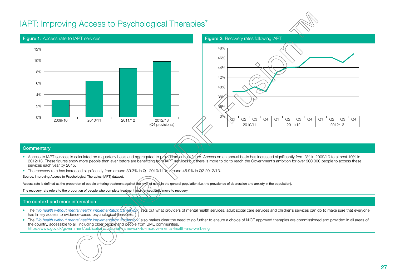# <span id="page-26-0"></span>IAPT: Improving Access to Psychological Therapies<sup>[7](#page-70-0)</sup>





#### **Commentary**

- Access to IAPT services is calculated on a quarterly basis and aggregated to provide an annual figure. Access on an annual basis has increased significantly from 3% in 2009/10 to almost 10% in 2012/13. These figures show more people than ever before are benefitting from IAPT services but there is more to do to reach the Government's ambition for over 900,000 people to access these services each year by 2015.
- The recovery rate has increased significantly from around 39.3% in Q1 2010/11 to around 45.9% in Q2 2012/13.

Source: Improving Access to Psychological Therapies (IAPT) dataset.

Access rate is defined as the proportion of people entering treatment against the level of need in the general population (i.e. the prevalence of depression and anxiety in the population).

The recovery rate refers to the proportion of people who complete treatment and consequently move to recovery.

#### The context and more information

• The 'No health without mental health: implementation framework' sets out what providers of mental health services, adult social care services and children's services can do to make sure that everyone has timely access to evidence-based psychological therapies.

• The 'No health without mental health: implementation framework' also makes clear the need to go further to ensure a choice of NICE approved therapies are commissioned and provided in all areas of the country, accessible to all, including older people and people from BME communities. https://www.gov.uk/government/publications/national-tramework-to-improve-mental-health-and-wellbeing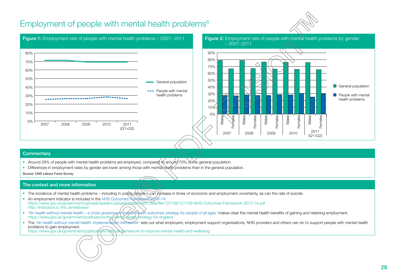# Employment of people with mental health problems<sup>[8](#page-70-0)</sup>

<span id="page-27-0"></span>

#### **Commentary**

0% 10% 20% 30% 40% 50% 60% 70% 80%

• Around 28% of people with mental health problems are employed, compared to around 70% of the general population.

2011 (Q1+Q2)

• Differences in employment rates by gender are lower among those with mental health problems than in the general population.

Source: ONS Labour Force Survey

#### The context and more information

2007 2008 2009 2010

• The incidence of mental health problems – including in young people Can increase in times of economic and employment uncertainty, as can the rate of suicide.

General population

••• People with mental health problems

- An employment indicator is included in the *NHS Outcomes Framework 2013–14* [https://www.gov.uk/government/uploads/system/uploads/attachment\\_data/file/127106/121109-NHS-Outcomes-Framework-2013-14.pdf](https://www.gov.uk/government/uploads/system/uploads/attachment_data/file/127106/121109-NHS-Outcomes-Framework-2013-14.pdf) <http://indicators.ic.nhs.uk/webview/>
- *'No health without mental health a cross-government mental thealth outcomes strategy for people of all ages'* makes clear the mental health benefits of gaining and retaining employment. https://www.gov.uk/government/publications/the-mental-bealth-strategy-for-england
- The 'No health without mental health: implementation framework' sets out what employers, employment support organisations, NHS providers and others can do to support people with mental health problems to gain employment.

https://www.gov.uk/government/publicat/ons/national-theamework-to-improve-mental-health-and-wellbeing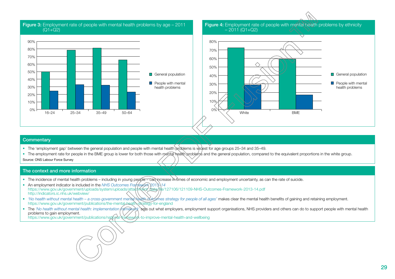

Figure 3: Employment rate of people with mental health problems by age – 2011



Figure 4: Employment rate of people with mental health problems by ethnicity

#### **Commentary**

- The 'employment gap' between the general population and people with mental health problems is widest for age groups 25–34 and 35–49.
- The employment rate for people in the BME group is lower for both those with mental health problems and the general population, compared to the equivalent proportions in the white group.

Source: ONS Labour Force Survey

#### The context and more information

- The incidence of mental health problems including in young people can increase in times of economic and employment uncertainty, as can the rate of suicide.
- An employment indicator is included in the *NHS Outcomes Framework 2013–14* https://www.gov.uk/government/uploads/system/uploads/atta**ch/xisox<u>/dat</u>e/file**/127106/121109-NHS-Outcomes-Framework-2013-14.pdf <http://indicators.ic.nhs.uk/webview/>
- *'No health without mental health a cross-government mental health perfores strategy for people of all ages'* makes clear the mental health benefits of gaining and retaining employment. <https://www.gov.uk/government/publications/the-mental-health-strategy-for-england>
- The 'No health without mental health: implementation framework' sets out what employers, employment support organisations, NHS providers and others can do to support people with mental health problems to gain employment.

<https://www.gov.uk/government/publications/national-framework-to-improve-mental-health-and-wellbeing>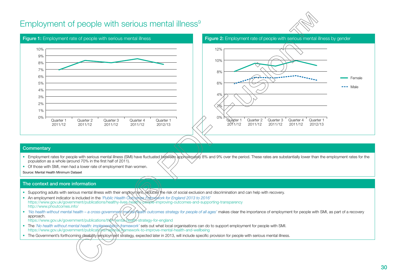## <span id="page-29-0"></span>Employment of people with serious mental illness<sup>9</sup>





#### **Commentary**

- Employment rates for people with serious mental illness (SMI) have fluctuated between approximately 8% and 9% over the period. These rates are substantially lower than the employment rates for the population as a whole (around 70% in the first half of 2011).
- Of those with SMI, men had a lower rate of employment than women.

Source: Mental Health Minimum Dataset

- Supporting adults with serious mental illness with their employment, reduces the risk of social exclusion and discrimination and can help with recovery.
- An employment indicator is included in the 'Public Health Oxtcomes Pramework for England 2013 to 2016' <https://www.gov.uk/government/publications/healthy-lives-healthy-people-improving-outcomes-and-supporting-transparency> <http://www.phoutcomes.info/>
- *'No health without mental health a cross-government (mental mental health outcomes strategy for people of all ages' makes clear the importance of employment for people with SMI, as part of a recovery* approach.
- <https://www.gov.uk/government/publications/the-mental-health-strategy-for-england>
- The *'No health without mental health: implementation framework'* sets out what local organisations can do to support employment for people with SMI. <https://www.gov.uk/government/publications/national-framework-to-improve-mental-health-and-wellbeing>
- The Government's forthcoming disability employment strategy, expected later in 2013, will include specific provision for people with serious mental illness.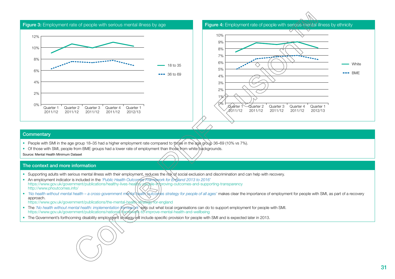

- People with SMI in the age group 18–35 had a higher employment rate compared to those in the age group 36–69 (10% vs 7%).
- Of those with SMI, people from BME groups had a lower rate of employment than those from white backgrounds.

Source: Mental Health Minimum Dataset

- Supporting adults with serious mental illness with their employment, reduces the risk of social exclusion and discrimination and can help with recovery.
- An employment indicator is included in the *'Public Health Outcomes Framework for England 2013 to 2016'* <https://www.gov.uk/government/publications/healthy-lives-healthy-people-improving-outcomes-and-supporting-transparency> <http://www.phoutcomes.info/>
- *'No health without mental health a cross-government mental health outcomes strategy for people of all ages'* makes clear the importance of employment for people with SMI, as part of a recovery approach.
- <https://www.gov.uk/government/publications/the-mental-health-strategy-for-england>
- The *'No health without mental health: implementation framework'* sets out what local organisations can do to support employment for people with SMI. <https://www.gov.uk/government/publications/national-framework-to-improve-mental-health-and-wellbeing>
- The Government's forthcoming disability employment strategy will include specific provision for people with SMI and is expected later in 2013.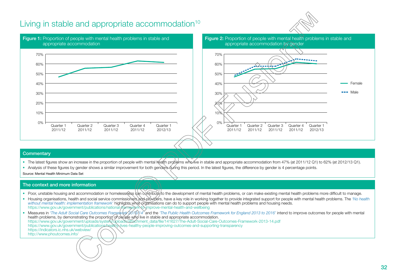# <span id="page-31-0"></span>Living in stable and appropriate accommodation<sup>10</sup>











#### **Commentary**

- The latest figures show an increase in the proportion of people with mental health problems who live in stable and appropriate accommodation from 47% (at 2011/12 Q1) to 62% (at 2012/13 Q1).
- Analysis of these figures by gender shows a similar improvement for both genders during this period. In the latest figures, the difference by gender is 4 percentage points.

Source: Mental Health Minimum Data Set

#### The context and more information

- Poor, unstable housing and accommodation or homelessness can contribute to the development of mental health problems, or can make existing mental health problems more difficult to manage.
- Housing organisations, health and social service commissioners and providers, have a key role in working together to provide integrated support for people with mental health problems. The *'No health without mental health: implementation framework'* highlights what organisations can do to support people with mental health problems and housing needs. <https://www.gov.uk/government/publications/national-framework-to-improve-mental-health-and-wellbeing>

• Measures in 'The Adult Social Care Outcomes Framework 2018/14<sup>Y</sup> and the 'The Public Health Outcomes Framework for England 2013 to 2016' intend to improve outcomes for people with mental health problems, by demonstrating the proportion of people who live in stable and appropriate accommodation. [https://www.gov.uk/government/uploads/system/uploads/attachment\\_data/file/141627/The-Adult-Social-Care-Outcomes-Framework-2013-14.pdf](https://www.gov.uk/government/uploads/system/uploads/attachment_data/file/141627/The-Adult-Social-Care-Outcomes-Framework-2013-14.pdf) <https://www.gov.uk/government/publications/healthy-lives-healthy-people-improving-outcomes-and-supporting-transparency> <https://indicators.ic.nhs.uk/webview/> <http://www.phoutcomes.info/>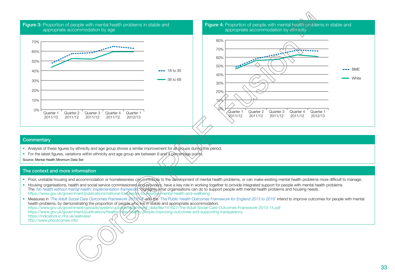

Figure 4: Proportion of people with mental health problems in stable and appropriate accommodation by ethnicity



#### **Commentary**

- Analysis of these figures by ethnicity and age group shows a similar improvement for all groups during this period.
- For the latest figures, variations within ethnicity and age group are between 8 and 4 percentage points.

Source: Mental Health Minimum Data Set

#### The context and more information

- Poor, unstable housing and accommodation or homelessness can contribute to the development of mental health problems, or can make existing mental health problems more difficult to manage.
- Housing organisations, health and social service commissioners and providers, have a key role in working together to provide integrated support for people with mental health problems. The *'No health without mental health: implementation framework'* highlights what organisations can do to support people with mental health problems and housing needs. https://www.gov.uk/government/publications/national-franؤework-to-improve-mental-health-and-wellbeing

• Measures in *'The Adult Social Care Outcomes Framework 2013/14'* and the *'The Public Health Outcomes Framework for England 2013 to 2016'* intend to improve outcomes for people with mental health problems, by demonstrating the proportion of people who live in stable and appropriate accommodation. [https://www.gov.uk/government/uploads/system/uploads/attachment\\_data/file/141627/The-Adult-Social-Care-Outcomes-Framework-2013-14.pdf](https://www.gov.uk/government/uploads/system/uploads/attachment_data/file/141627/The-Adult-Social-Care-Outcomes-Framework-2013-14.pdf) <https://www.gov.uk/government/publications/healthy-lives-healthy-people-improving-outcomes-and-supporting-transparency> <https://indicators.ic.nhs.uk/webview/> <http://www.phoutcomes.info/>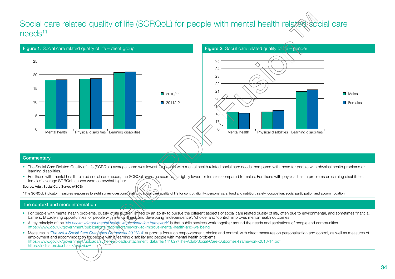# <span id="page-33-0"></span>Social care related quality of life (SCRQoL) for people with mental health related social care needs<sup>[11](#page-70-0)</sup>



#### **Commentary**

- The Social Care Related Quality of Life (SCRQoL) average score was lowest for people with mental health related social care needs, compared with those for people with physical health problems or learning disabilities.
- For those with mental health related social care needs, the SCRQoL average score was slightly lower for females compared to males. For those with physical health problems or learning disabilities, females' average SCRQoL scores were somewhat higher.

Source: Adult Social Care Survey (ASCS)

\* The SCRQoL indicator measures responses to eight survey questions relating to social care quality of life for control, dignity, personal care, food and nutrition, safety, occupation, social participation and accommodatio

- For people with mental health problems, quality of life is often limited by an ability to pursue the different aspects of social care related quality of life, often due to environmental, and sometimes financial, barriers. Broadening opportunities for people with mental illness and developing 'independence', 'choice' and 'control' improves mental health outcomes.
- A key principle of the *'No health without mental health: implementation framework'* is that public services work together around the needs and aspirations of people and communities. <https://www.gov.uk/government/publications/national-framework-to-improve-mental-health-and-wellbeing>
- Measures in 'The Adult Social Care Outchines Framework 2013/14' support a focus on empowerment, choice and control, with direct measures on personalisation and control, as well as measures of employment and accommodation for people with a learning disability and people with mental health problems. [https://www.gov.uk/government/uploads/system/uploads/attachment\\_data/file/141627/The-Adult-Social-Care-Outcomes-Framework-2013-14.pdf](https://www.gov.uk/government/uploads/system/uploads/attachment_data/file/141627/The-Adult-Social-Care-Outcomes-Framework-2013-14.pdf) <https://indicators.ic.nhs.uk/webview/>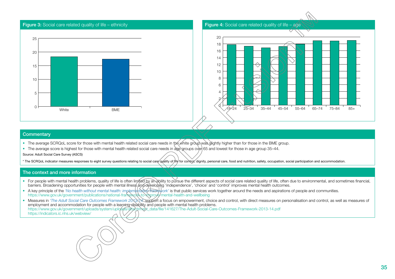

- The average SCRQoL score for those with mental health related social care needs in the white group was slightly higher than for those in the BME group.
- The average score is highest for those with mental health related social care needs in age groups over 65 and lowest for those in age group 35–44.

Source: Adult Social Care Survey (ASCS)

\* The SCRQoL indicator measures responses to eight survey questions relating to social care quality of life for control, dignity, personal care, food and nutrition, safety, occupation, social participation and accommodatio

- For people with mental health problems, quality of life is often limited by an ability to pursue the different aspects of social care related quality of life, often due to environmental, and sometimes financial, barriers. Broadening opportunities for people with mental illness and developing 'independence', 'choice' and 'control' improves mental health outcomes.
- A key principle of the 'No health without mental health: implementation framework' is that public services work together around the needs and aspirations of people and communities. <https://www.gov.uk/government/publications/national-framework-to-improve-mental-health-and-wellbeing>
- Measures in *'The Adult Social Care Outcomes Framework 2013*/34<sup>2</sup> support a focus on empowerment, choice and control, with direct measures on personalisation and control, as well as measures of employment and accommodation for people with a learning disability and people with mental health problems. https://www.gov.uk/government/uploads/system/uploads/stachment/uploads/file/141627/The-Adult-Social-Care-Outcomes-Framework-2013-14.pdf <https://indicators.ic.nhs.uk/webview/>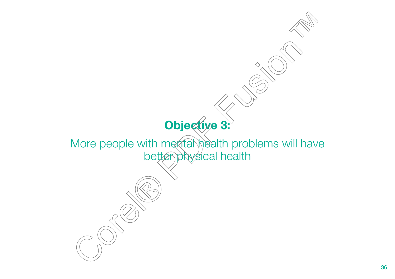# **Objective 3:**

 $\Diamond$ 

<span id="page-35-0"></span>More people with mental health problems will have better physical health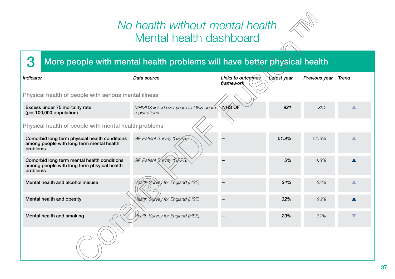## *No health without mental health* Mental health dashboard



## 8 More people with mental health problems will have better physical health

| Indicator                                                                                              | Data source                                           | Links to outcomes<br>framework | Latest year | Previous year | <b>Trend</b> |  |
|--------------------------------------------------------------------------------------------------------|-------------------------------------------------------|--------------------------------|-------------|---------------|--------------|--|
| Physical health of people with serious mental illness                                                  |                                                       |                                |             |               |              |  |
| Excess under 75 mortality rate<br>(per 100,000 population)                                             | MHMDS linked over years to ONS death<br>registrations | <b>NHS OF</b>                  | 921         | 891           |              |  |
| Physical health of people with mental health problems                                                  |                                                       |                                |             |               |              |  |
| Comorbid long term physical health conditions<br>among people with long term mental health<br>problems | GP Patient Survey (GPPS)                              |                                | 51.9%       | 51.6%         |              |  |
| Comorbid long term mental health conditions<br>among people with long term phsyical health<br>problems | GP Patient Survey (GPPS)                              |                                | 5%          | 4.8%          |              |  |
| Mental health and alcohol misuse                                                                       | <b>Health Survey for England (HSE)</b>                |                                | 34%         | 32%           |              |  |
| Mental health and obesity                                                                              | Health Survey for England (HSE)                       |                                | 32%         | 26%           |              |  |
| Mental health and smoking                                                                              | Health Survey for England (HSE)                       |                                | 29%         | 31%           |              |  |
|                                                                                                        |                                                       |                                |             |               |              |  |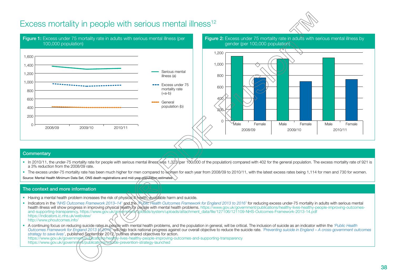## Excess mortality in people with serious mental illness<sup>[12](#page-71-0)</sup>





#### **Commentary**

- In 2010/11, the under-75 mortality rate for people with serious mental illness was 1,323 (per 100,000 of the population) compared with 402 for the general population. The excess mortality rate of 921 is a 3% reduction from the 2008/09 rate.
- The excess under-75 mortality rate has been much higher for men compared to women for each year from 2008/09 to 2010/11, with the latest excess rates being 1,114 for men and 730 for women.

Source: Mental Health Minimum Data Set, ONS death registrations and mid-year population estimates

#### The context and more information

- Having a mental health problem increases the risk of physical ill health, avoidable harm and suicide.
- Indicators in the *'NHS Outcomes Framework 2013–14'* and the *'Public Health Outcomes Framework for England 2013 to 2016'* for reducing excess under-75 mortality in adults with serious mental health illness will show progress in improving physical health for people with mental health problems. [https://www.gov.uk/government/publications/healthy-lives-healthy-people-improving-outcomes](https://www.gov.uk/government/publications/healthy-lives-healthy-people-improving-outcomes-and-supporting-transparency)[and-supporting-transparency.](https://www.gov.uk/government/publications/healthy-lives-healthy-people-improving-outcomes-and-supporting-transparency) [https://www.gov.uk/government/uploads/system/uploads/attachment\\_data/file/127106/121109-NHS-Outcomes-Framework-2013-14.pdf](https://www.gov.uk/government/uploads/system/uploads/attachment_data/file/127106/121109-NHS-Outcomes-Framework-2013-14.pdf) <https://indicators.ic.nhs.uk/webview/> <http://www.phoutcomes.info/>
- A continuing focus on reducing suicide rates in people with mental health problems, and the population in general, will be critical. The inclusion of suicide as an indicator within the *'Public Health Outcomes Framework for England 2013 to 2016'* will help track national progress against our overall objective to reduce the suicide rate. *'Preventing suicide in England – A cross-government outcomes strategy to save lives'*, published September 2012, outlines shared objectives for action. <https://www.gov.uk/government/publications/healthy-lives-healthy-people-improving-outcomes-and-supporting-transparency>

<https://www.gov.uk/government/publications/suicide-prevention-strategy-launched>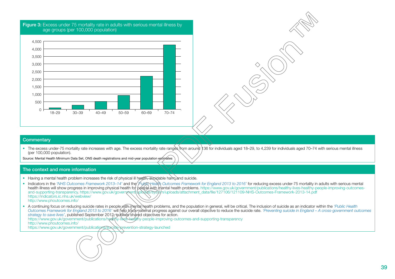

• The excess under-75 mortality rate increases with age. The excess mortality rate ranges from around 136 for individuals aged 18–29, to 4,239 for individuals aged 70–74 with serious mental illness (per 100,000 population).

Source: Mental Health Minimum Data Set, ONS death registrations and mid-year population estimates

#### The context and more information

- Having a mental health problem increases the risk of physical ill health, avoidable harm and suicide.
- Indicators in the *'NHS Outcomes Framework 2013–14'* and the *'Public Health Outcomes Framework for England 2013 to 2016'* for reducing excess under-75 mortality in adults with serious mental health illness will show progress in improving physical health for people with mental health problems. [https://www.gov.uk/government/publications/healthy-lives-healthy-people-improving-outcomes](https://www.gov.uk/government/publications/healthy-lives-healthy-people-improving-outcomes-and-supporting-transparency)[and-supporting-transparency.](https://www.gov.uk/government/publications/healthy-lives-healthy-people-improving-outcomes-and-supporting-transparency) [https://www.gov.uk/government/uploads/system/uploads/attachment\\_data/file/127106/121109-NHS-Outcomes-Framework-2013-14.pdf](https://www.gov.uk/government/uploads/system/uploads/attachment_data/file/127106/121109-NHS-Outcomes-Framework-2013-14.pdf) <https://indicators.ic.nhs.uk/webview/> <http://www.phoutcomes.info/>
- A continuing focus on reducing suicide rates in people with mental health problems, and the population in general, will be critical. The inclusion of suicide as an indicator within the *'Public Health Outcomes Framework for England 2013 to 2016'* will help track national progress against our overall objective to reduce the suicide rate. *'Preventing suicide in England – A cross-government outcomes strategy to save lives'*, published September 2012, outlines shared objectives for action. <https://www.gov.uk/government/publications/healthy-lives-healthy-people-improving-outcomes-and-supporting-transparency> <http://www.phoutcomes.info/>

<https://www.gov.uk/government/publications/suicide-prevention-strategy-launched>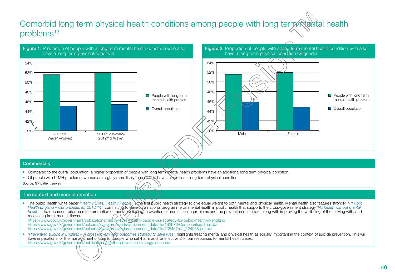## Comorbid long term physical health conditions among people with long term mental health problems<sup>[13](#page-71-0)</sup>



#### **Commentary**

• Compared to the overall population, a higher proportion of people with long term mental health problems have an additional long term physical condition.

 $\overline{177}$ 

• Of people with LTMH problems, women are slightly more likely than men to have an additional long term physical condition.

Source: GP patient survey

#### The context and more information

• The public health white paper *'Healthy Lives, Healthy People'* is the first public health strategy to give equal weight to both mental and physical health. Mental health also features strongly in *'Public Health England – Our priorities for 2013/14',* committing to develop a national programme on mental health in public health that supports the cross-government strategy *'No health without mental*  health'. The document prioritises the promotion of mental wellbeing, prevention of mental health problems and the prevention of suicide, along with improving the wellbeing of those living with, and recovering from, mental illness. <https://www.gov.uk/government/publications/healthy-lives-healthy-people-our-strategy-for-public-health-in-england>

[https://www.gov.uk/government/uploads/system/uploads/attachment\\_data/file/192676/Our\\_priorities\\_final.pdf](https://www.gov.uk/government/uploads/system/uploads/attachment_data/file/192676/Our_priorities_final.pdf) [https://www.gov.uk/government/uploads/system/uploads/attachment\\_data/file/135457/dh\\_124058.pdf.pdf](https://www.gov.uk/government/uploads/system/uploads/attachment_data/file/135457/dh_124058.pdf.pdf)

• 'Preventing suicide in England – A cross-government outcomes strategy to save lives', highlights treating mental and physical health as equally important in the context of suicide prevention. This will have implications for the management of care for people who self-harm and for effective 24-hour responses to mental health crises. <https://www.gov.uk/government/publications/suicide-prevention-strategy-launched>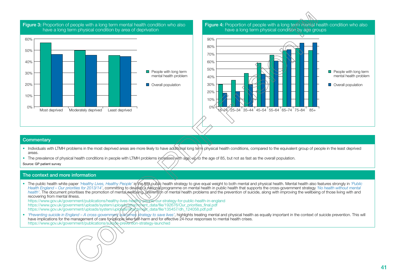

**Figure 3:** Proportion of people with a long term mental health condition who also have a long term physical condition by area of deprivation

Figure 4: Proportion of people with a long term mental health condition who also have a long term physical condition by age groups



#### **Commentary**

- Individuals with LTMH problems in the most deprived areas are more likely to have additional long term physical health conditions, compared to the equivalent group of people in the least deprived areas.
- The prevalence of physical health conditions in people with LTMH problems increases with age, up to the age of 85, but not as fast as the overall population.

Source: GP patient survey

#### The context and more information

• The public health white paper 'Healthy Lives, Healthy People' is the first public health strategy to give equal weight to both mental and physical health. Mental health also features strongly in 'Public Health England – Our priorities for 2013/14', committing to develop a national programme on mental health in public health that supports the cross-government strategy 'No health without mental health'. The document prioritises the promotion of mental wellbeing, prevention of mental health problems and the prevention of suicide, along with improving the wellbeing of those living with and recovering from mental illness.

<https://www.gov.uk/government/publications/healthy-lives-healthy-people-our-strategy-for-public-health-in-england> [https://www.gov.uk/government/uploads/system/uploads/attachment\\_data/file/192676/Our\\_priorities\\_final.pdf](https://www.gov.uk/government/uploads/system/uploads/attachment_data/file/192676/Our_priorities_final.pdf) [https://www.gov.uk/government/uploads/system/uploads/attachment\\_data/file/135457/dh\\_124058.pdf.pdf](https://www.gov.uk/government/uploads/system/uploads/attachment_data/file/135457/dh_124058.pdf.pdf)

• *'Preventing suicide in England – A cross-government* witcomes strategy to save lives', highlights treating mental and physical health as equally important in the context of suicide prevention. This will have implications for the management of care for people who self-harm and for effective 24-hour responses to mental health crises. https://www.gov.uk/government/publications/suitcide-prevention-strategy-launched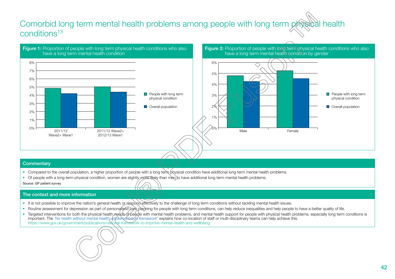## Comorbid long term mental health problems among people with long term physical health conditions<sup>13</sup>



#### **Commentary**

- Compared to the overall population, a higher proportion of people with a long term physical condition have additional long term mental health problems.
- Of people with a long term physical condition, women are slightly more likely than men to have additional long term mental health problems.  $\supset$

 $\overline{177}$ 

Source: GP patient survey

- It is not possible to improve the nation's general health or respond effectively to the challenge of long term conditions without tackling mental health issues.
- Routine assessment for depression as part of personalised care planning for people with long term conditions, can help reduce inequalities and help people to have a better quality of life.
- Targeted interventions for both the physical health needs of people with mental health problems, and mental health support for people with physical health problems, especially long term conditions is important. The *'No health without mental health: implementation framework'* explains how co-location of staff or multi-disciplinary teams can help achieve this. <https://www.gov.uk/government/publications/national-framework-to-improve-mental-health-and-wellbeing>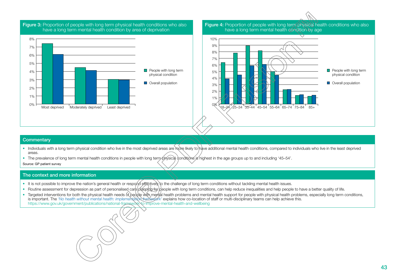

**Figure 3:** Proportion of people with long term physical health conditions who also

Figure 4: Proportion of people with long term physical health conditions who also have a long term mental health condition by age



#### **Commentary**

- Individuals with a long term physical condition who live in the most deprived areas are more likely to have additional mental health conditions, compared to individuals who live in the least deprived areas.
- The prevalence of long term mental health conditions in people with long term physical conditions is highest in the age groups up to and including '45–54'.

Source: GP patient survey

- It is not possible to improve the nation's general health or respond effectively to the challenge of long term conditions without tackling mental health issues.
- Routine assessment for depression as part of personalised care planning for people with long term conditions, can help reduce inequalities and help people to have a better quality of life.
- Targeted interventions for both the physical health needs of people with mental health problems and mental health support for people with physical health problems, especially long term conditions, is important. The *'No health without mental health: implementation framework'* explains how co-location of staff or multi-disciplinary teams can help achieve this. <https://www.gov.uk/government/publications/national-framework-to-improve-mental-health-and-wellbeing>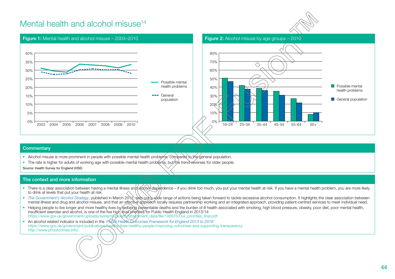## Mental health and alcohol misuse<sup>14</sup>







#### **Commentary**

- Alcohol misuse is more prominent in people with possible mental health problems, compared to the general population.
- The rate is higher for adults of working age with possible mental health problems, but the trend reverses for older people.

Source: Health Survey for England (HSE)

- There is a clear association between having a mental illness and alcohol dependence if you drink too much, you put your mental health at risk. If you have a mental health problem, you are more likely to drink at levels that put your health at risk.
- The Government's Alcohol Strategy, published in March 2012, sets out a wide range of actions being taken forward to tackle excessive alcohol consumption. It highlights the clear association between mental illness and drug and alcohol misuse, and that an effective approach locally requires partnership working and an integrated approach, providing patient-centred services to meet individual need.
- Helping people to live longer and more healthy lives by reducing preventable deaths and the burden of ill health associated with smoking, high blood pressure, obesity, poor diet, poor mental health, insufficient exercise and alcohol, is one of the five high level priorities for Public Health England in 2013/14 https://www.gov.uk/government/uploads/system/uploads/sttachment\_data/file/192676/Our\_priorities\_final.pdf
- An alcohol related indicator is included in the *'Public Health Outcomes Framework for England 2013 to 2016'* <https://www.gov.uk/government/publications/healthy-lives-healthy-people-improving-outcomes-and-supporting-transparency> <http://www.phoutcomes.info/>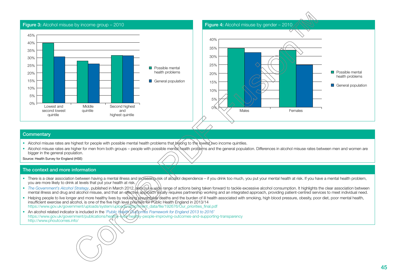

- Alcohol misuse rates are highest for people with possible mental health problems that belong to the lowest two income quintiles.
- Alcohol misuse rates are higher for men from both groups people with possible mental health problems and the general population. Differences in alcohol misuse rates between men and women are bigger in the general population.

Source: Health Survey for England (HSE)

- There is a clear association between having a mental illness and increasing risk of alcohol dependence if you drink too much, you put your mental health at risk. If you have a mental health problem, you are more likely to drink at levels that put your health at risk.
- *The Government's Alcohol Strategy*, published in March 2012, sets out a wide range of actions being taken forward to tackle excessive alcohol consumption. It highlights the clear association between mental illness and drug and alcohol misuse, and that an effective approach locally requires partnership working and an integrated approach, providing patient-centred services to meet individual need.
- Helping people to live longer and more healthy lives by reducing preventable deaths and the burden of ill health associated with smoking, high blood pressure, obesity, poor diet, poor mental health, insufficient exercise and alcohol, is one of the five high level priorities for Public Health England in 2013/14 [https://www.gov.uk/government/uploads/system/uploads/attachment\\_data/file/192676/Our\\_priorities\\_final.pdf](https://www.gov.uk/government/uploads/system/uploads/attachment_data/file/192676/Our_priorities_final.pdf)
- An alcohol related indicator is included in the *'Public Health Outcomes Framework for England 2013 to 2016'* <https://www.gov.uk/government/publications/healthy-lives-healthy-people-improving-outcomes-and-supporting-transparency> <http://www.phoutcomes.info/>

45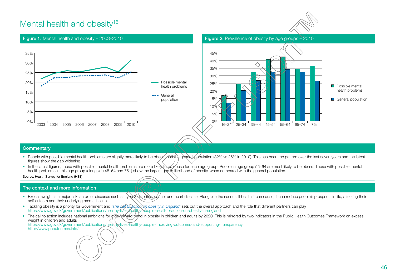## Mental health and obesity<sup>[15](#page-71-0)</sup>



**Possible mental** health problems General population



#### **Commentary**

- People with possible mental health problems are slightly more likely to be obese than the general population (32% vs 26% in 2010). This has been the pattern over the last seven years and the latest figures show the gap widening.
- In the latest figures, those with possible mental health problems are more likely to be obese for each age group. People in age group 55–64 are most likely to be obese. Those with possible mental health problems in this age group (alongside 45–54 and 75+) show the largest gap in likelihood of obesity, when compared with the general population.

Source: Health Survey for England (HSE)

- Excess weight is a major risk factor for diseases such as type 2 diabetes, cancer and heart disease. Alongside the serious ill-health it can cause, it can reduce people's prospects in life, affecting their self-esteem and their underlying mental health.
- Tackling obesity is a priority for Government and 'The call to asking on obesity in England' sets out the overall approach and the role that different partners can play <https://www.gov.uk/government/publications/healthy-lives-healthy-people-a-call-to-action-on-obesity-in-england>
- The call to action includes national ambitions for a downward trend in obesity in children and adults by 2020. This is mirrored by two indicators in the Public Health Outcomes Framework on excess weight in children and adults <https://www.gov.uk/government/publications/healthy-lives-healthy-people-improving-outcomes-and-supporting-transparency> <http://www.phoutcomes.info/>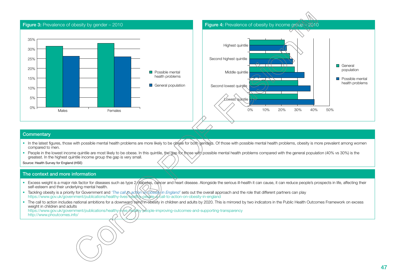

- In the latest figures, those with possible mental health problems are more likely to be obese for both genders. Of those with possible mental health problems, obesity is more prevalent among women compared to men.
- People in the lowest income quintile are most likely to be obese. In this quintile, the gap for those with possible mental health problems compared with the general population (40% vs 30%) is the greatest. In the highest quintile income group the gap is very small.

Source: Health Survey for England (HSE)

#### The context and more information

- Excess weight is a major risk factor for diseases such as type 2 diabetes, cancer and heart disease. Alongside the serious ill-health it can cause, it can reduce people's prospects in life, affecting their self-esteem and their underlying mental health.
- **•** Tackling obesity is a priority for Government and 'The call *to action of Kobesity in England'* sets out the overall approach and the role that different partners can play <https://www.gov.uk/government/publications/healthy-lives-healthy-people-a-call-to-action-on-obesity-in-england>
- The call to action includes national ambitions for a downward trend in obesity in children and adults by 2020. This is mirrored by two indicators in the Public Health Outcomes Framework on excess weight in children and adults<br>https://www.gov.uk/government/publications/healthy ealthy-people-improving-outcomes-and-supporting-transparency

<http://www.phoutcomes.info/>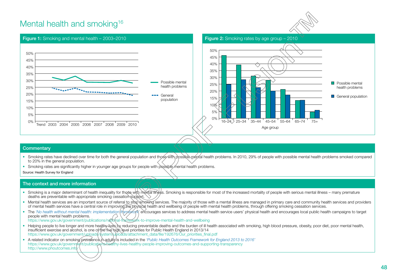## Mental health and smoking<sup>16</sup>







#### **Commentary**

- Smoking rates have declined over time for both the general population and those with possible mental health problems. In 2010, 29% of people with possible mental health problems smoked compared to 20% in the general population.
- Smoking rates are significantly higher in younger age groups for people with possible mental health problems.

Source: Health Survey for England

- Smoking is a major determinant of health inequality for those with mental illness. Smoking is responsible for most of the increased mortality of people with serious mental illness many premature deaths are preventable with appropriate smoking cessation support.  $\setminus$
- Mental health services are an important source of referral to stop smoking services. The majority of those with a mental illness are managed in primary care and community health services and providers of mental health services have a central role in improving the physical health and wellbeing of people with mental health problems, through offering smoking cessation services.
- The 'No health without mental health: implementation (framework)' encourages services to address mental health service users' physical health and encourages local public health campaigns to target people with mental health problems.
- <https://www.gov.uk/government/publications/national-framework-to-improve-mental-health-and-wellbeing>
- Helping people to live longer and more healthy-lives by reducing preventable deaths and the burden of ill health associated with smoking, high blood pressure, obesity, poor diet, poor mental health, insufficient exercise and alcohol, is one of the five high level priorities for Public Health England in 2013/14 [https://www.gov.uk/government/uploads/system/uploads/attachment\\_data/file/192676/Our\\_priorities\\_final.pdf](https://www.gov.uk/government/uploads/system/uploads/attachment_data/file/192676/Our_priorities_final.pdf)
- A related indicator on smoking prevalence in adults is included in the *'Public Health Outcomes Framework for England 2013 to 2016'* <https://www.gov.uk/government/publications/healthy-lives-healthy-people-improving-outcomes-and-supporting-transparency> http://www.phoutcomes.infd/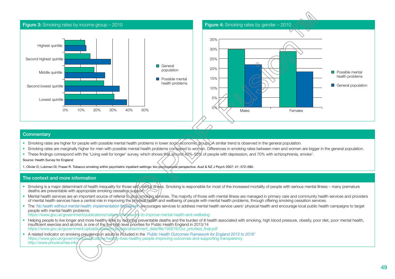

- Smoking rates are higher for people with possible mental health problems in lower socio-economic groups. A similar trend is observed in the general population.
- Smoking rates are marginally higher for men with possible mental health problems compared to women. Differences in smoking rates between men and women are bigger in the general population.
- These findings correspond with the 'Living well for longer' survey, which shows that around 40%-50% of people with depression, and 70% with schizophrenia, smoke<sup>1</sup>.

#### Source: Health Survey for England

1. Olivier D, Lubman DI, Fraser R. Tobacco smoking within psychiatric inpatient settings: bio psychosocial perspective. Aust & NZ J Psych 2007; 41: 572–580.

- Smoking is a major determinant of health inequality for those with mental illness. Smoking is responsible for most of the increased mortality of people with serious mental illness many premature deaths are preventable with appropriate smoking cessation support.
- Mental health services are an important source of referral to stop smoking services. The majority of those with mental illness are managed in primary care and community health services and providers of mental health services have a central role in improving the physical health and wellbeing of people with mental health problems, through offering smoking cessation services.
- The *'No health without mental health: implementation framework'* encourages services to address mental health service users' physical health and encourage local public health campaigns to target people with mental health problems.
- <https://www.gov.uk/government/publications/national-framework-to-improve-mental-health-and-wellbeing>
- Helping people to live longer and more healthy lives by reducing preventable deaths and the burden of ill health associated with smoking, high blood pressure, obesity, poor diet, poor mental health, insufficient exercise and alcohol, is one of the five high level priorities for Public Health England in 2013/14 [https://www.gov.uk/government/uploads/system/uploads/attachment\\_data/file/192676/Our\\_priorities\\_final.pdf](https://www.gov.uk/government/uploads/system/uploads/attachment_data/file/192676/Our_priorities_final.pdf)
- A related indicator on smoking prevalence in adults is included in the *'Public Health Outcomes Framework for England 2013 to 2016'* <https://www.gov.uk/government/publications/healthy-lives-healthy-people-improving-outcomes-and-supporting-transparency> <http://www.phoutcomes.info/>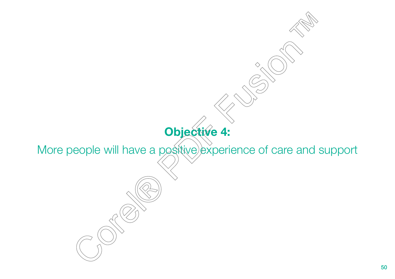## **Objective 4:**

 $\Diamond$ 

More people will have a positive experience of care and support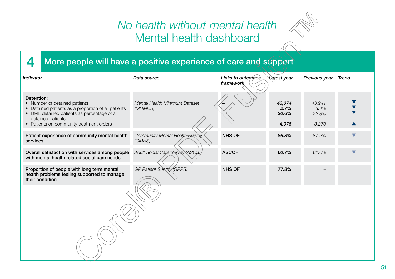## *No health without mental health* Mental health dashboard



## 4 More people will have a positive experience of care and support

| Indicator                                                                                                                                                                                                           | Data source                              | Links to outcomes<br>framework | Latest year                      | Previous year                    | <b>Trend</b>         |
|---------------------------------------------------------------------------------------------------------------------------------------------------------------------------------------------------------------------|------------------------------------------|--------------------------------|----------------------------------|----------------------------------|----------------------|
| Detention:<br>• Number of detained patients<br>• Detained patients as a proportion of all patients<br>• BME detained patients as percentage of all<br>detained patients<br>• Patients on community treatment orders | Mental Health Minimum Dataset<br>(MHMDS) |                                | 43,074<br>2.7%<br>20.6%<br>4,076 | 43,941<br>3.4%<br>22.3%<br>3,270 |                      |
| Patient experience of community mental health<br>services                                                                                                                                                           | Community Mental Health Survey<br>(CMHS) | <b>NHS OF</b>                  | 86.8%                            | 87.2%                            | $\blacktriangledown$ |
| Overall satisfaction with services among people<br>with mental health related social care needs                                                                                                                     | Adult Social Care Survey (ASCS)          | <b>ASCOF</b>                   | 60.7%                            | 61.0%                            |                      |
| Proportion of people with long term mental<br>health problems feeling supported to manage<br>their condition                                                                                                        | GP Patient Survey (GPPS)                 | <b>NHS OF</b>                  | 77.8%                            |                                  |                      |
|                                                                                                                                                                                                                     |                                          |                                |                                  |                                  |                      |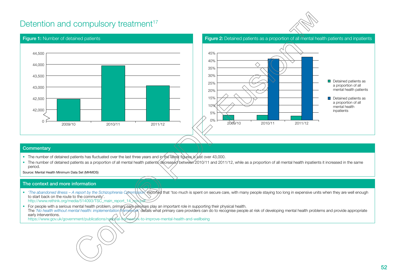## Detention and compulsory treatment<sup>[17](#page-71-0)</sup>



#### Figure 1: Number of detained patients **Figure 2: Detained patients as a proportion** of all mental health patients and inpatients  $\cap$ 42,000 42,500 43,000 43,500 44,000 44,500 2009/10 2010/11 2011/12 Detained patients as a proportion of all mental health patients Detained patients as a proportion of all mental health inpatients 0% 5% 10% 15% 20% 25% 30% 35% 40% 45% 2009/10 2010/11 2011/12

#### **Commentary**

- The number of detained patients has fluctuated over the last three years and in the latest figures is just over 43,000.
- The number of detained patients as a proportion of all mental health patients decreased between 2010/11 and 2011/12, while as a proportion of all mental health inpatients it increased in the same period.
- Source: Mental Health Minimum Data Set (MHMDS)

#### The context and more information

- 'The abandoned illness A report by the Schizophrenia Commission **reported** that 'too much is spent on secure care, with many people staying too long in expensive units when they are well enough to start back on the route to the community'. http://www.rethink.org/media/514093/TSC\_main\_report\_14\_
- For people with a serious mental health problem, primary care services play an important role in supporting their physical health. The 'No health without mental health: implementation framework' details what primary care providers can do to recognise people at risk of developing mental health problems and provide appropriate early interventions. <https://www.gov.uk/government/publications/national-framework-to-improve-mental-health-and-wellbeing>

52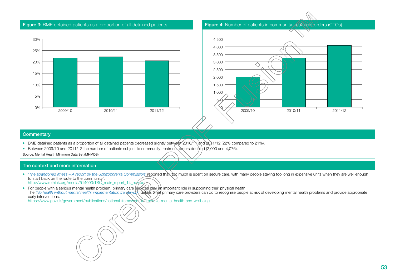



- BME detained patients as a proportion of all detained patients decreased slightly between 2010/11 and 2011/12 (22% compared to 21%).
- Between 2009/10 and 2011/12 the number of patients subject to community treatment orders doubled (2,000 and 4,076).

Source: Mental Health Minimum Data Set (MHMDS)

#### The context and more information

- *'The abandoned illness A report by the Schizophrenia Commission'* reported that 'too much is spent on secure care, with many people staying too long in expensive units when they are well enough to start back on the route to the community'. [http://www.rethink.org/media/514093/TSC\\_main\\_report\\_14\\_nov.pdf](http://www.rethink.org/media/514093/TSC_main_report_14_nov.pdf)
- For people with a serious mental health problem, primary care services play an important role in supporting their physical health. The 'No health without mental health: implementation framework' details what primary care providers can do to recognise people at risk of developing mental health problems and provide appropriate early interventions.

<https://www.gov.uk/government/publications/national-framework-to-improve-mental-health-and-wellbeing>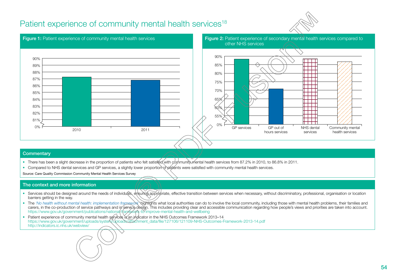## Patient experience of community mental health services<sup>18</sup>





#### **Commentary**

- There has been a slight decrease in the proportion of patients who felt satisfied with community mental health services from 87.2% in 2010, to 86.8% in 2011.
- Compared to NHS dental services and GP services, a slightly lower proportion of patients were satisfied with community mental health services.

Source: Care Quality Commission Community Mental Health Services Survey

- Services should be designed around the needs of individuals, ensuring appropriate, effective transition between services when necessary, without discriminatory, professional, organisation or location barriers getting in the way.
- The 'No health without mental health: implementation framework highlights what local authorities can do to involve the local community, including those with mental health problems, their families and carers, in the co-production of service pathways and in service design. This includes providing clear and accessible communication regarding how people's views and priorities are taken into account. <https://www.gov.uk/government/publications/national-framework-to-improve-mental-health-and-wellbeing>
- Patient experience of community mental health services is an indicator in the NHS Outcomes Framework 2013–14 [https://www.gov.uk/government/uploads/system/uploads/attachment\\_data/file/127106/121109-NHS-Outcomes-Framework-2013-14.pdf](https://www.gov.uk/government/uploads/system/uploads/attachment_data/file/127106/121109-NHS-Outcomes-Framework-2013-14.pdf) [http://indicators.ic.nhs.uk/webview/](https://indicators.ic.nhs.uk/webview/)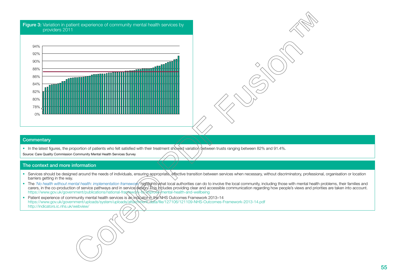#### **Figure 3:** Variation in patient experience of community mental health services by providers 2011



#### **Commentary**

• In the latest figures, the proportion of patients who felt satisfied with their treatment showed variation between trusts ranging between 82% and 91.4%.

Source: Care Quality Commission Community Mental Health Services Survey

- Services should be designed around the needs of individuals, ensuring appropriate, effective transition between services when necessary, without discriminatory, professional, organisation or location barriers getting in the way.
- The 'No health without mental health: implementation framework highlights what local authorities can do to involve the local community, including those with mental health problems, their families and carers, in the co-production of service pathways and in service design. This includes providing clear and accessible communication regarding how people's views and priorities are taken into account. <https://www.gov.uk/government/publications/national-framework-to-improve-mental-health-and-wellbeing>
- Patient experience of community mental health services is an indicator in the NHS Outcomes Framework 2013-14 [https://www.gov.uk/government/uploads/system/uploads/attachment\\_data/file/127106/121109-NHS-Outcomes-Framework-2013-14.pdf](https://www.gov.uk/government/uploads/system/uploads/attachment_data/file/127106/121109-NHS-Outcomes-Framework-2013-14.pdf) [http://indicators.ic.nhs.uk/webview/](https://indicators.ic.nhs.uk/webview/)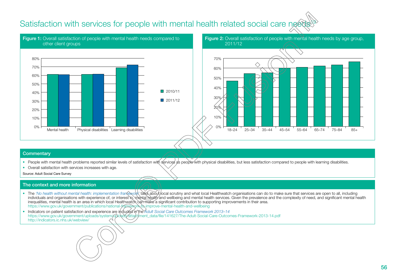## Satisfaction with services for people with mental health related social care need





#### **Commentary**

- People with mental health problems reported similar levels of satisfaction with services as people with physical disabilities, but less satisfaction compared to people with learning disabilities.
- Overall satisfaction with services increases with age.

Source: Adult Social Care Survey

- The 'No health without mental health: implementation framework' talks about local scrutiny and what local Healthwatch organisations can do to make sure that services are open to all, including individuals and organisations with experience of, or interest in, ከerstid health and wellbeing and mental health services. Given the prevalence and the complexity of need, and significant mental health inequalities, mental health is an area in which local Healthwatch can make a significant contribution to supporting improvements in their area. <https://www.gov.uk/government/publications/national-framework-to-improve-mental-health-and-wellbeing>
- Indicators on patient satisfaction and experience are included in the *Adult Social Care Outcomes Framework 2013–14* https://www.gov.uk/government/uploads/system/advata-tachment\_data/file/141627/The-Adult-Social-Care-Outcomes-Framework-2013-14.pdf [http://indicators.ic.nhs.uk/webview/](https://indicators.ic.nhs.uk/webview/)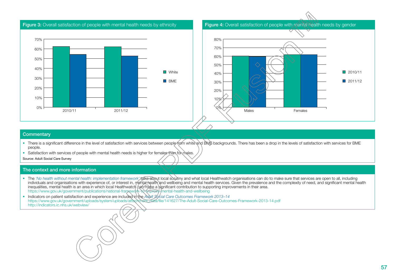



- There is a significant difference in the level of satisfaction with services between people from white and BMB backgrounds. There has been a drop in the levels of satisfaction with services for BME people.
- Satisfaction with services of people with mental health needs is higher for females than for males.

Source: Adult Social Care Survey

- The 'No health without mental health: implementation framework/talks about local scrutiny and what local Healthwatch organisations can do to make sure that services are open to all, including individuals and organisations with experience of, or interest in, mental health and wellbeing and mental health services. Given the prevalence and the complexity of need, and significant mental health inequalities, mental health is an area in which local Healthwatch can make a significant contribution to supporting improvements in their area. <https://www.gov.uk/government/publications/national-framework-to-improve-mental-health-and-wellbeing>
- Indicators on patient satisfaction and experience are included in the Adult Social Care Outcomes Framework 2013-14 https://www.gov.uk/government/uploads/system/uploads/attachment\_data/file/141627/The-Adult-Social-Care-Outcomes-Framework-2013-14.pdf [http://indicators.ic.nhs.uk/webview/](https://indicators.ic.nhs.uk/webview/)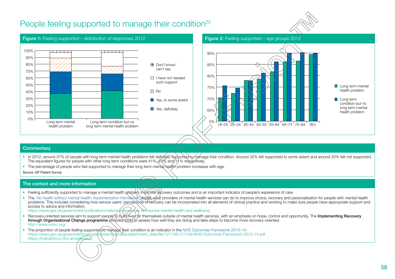## People feeling supported to manage their condition<sup>[20](#page-72-0)</sup>







health problem

#### **Commentary**

- In 2012, around 37% of people with long term mental health problems felt definitely supported to manage their condition. Around 32% felt supported to some extent and around 20% felt not supported. The equivalent figures for people with other long term conditions were 41%,  $25\%$  and 11 % respectively.
- The percentage of people who feel supported to manage their long term mental health problem increases with age.

Source: GP Patient Survey

#### The context and more information

- Feeling sufficiently supported to manage a mental health problem improves recovery outcomes and is an important indicator of people's experience of care.
- The *'No health without mental health: implementation framework* details what providers of mental health services can do to improve choice, recovery and personalisation for people with mental health problems. This includes considering how service users' perceptions of recovery can be incorporated into all elements of clinical practice and working to make sure people have appropriate support and access to advice and information.

<https://www.gov.uk/government/publications/national-framework-to-improve-mental-health-and-wellbeing>

- Recovery-oriented services aim to support people to build lives for themselves outside of mental health services, with an emphasis on hope, control and opportunity. The Implementing Recovery through Organisational Change programme provides tools to assess how well they are doing and take steps to become more recovery-oriented. <http://www.imroc.org/>
- The proportion of people feeling supported to manage their condition is an indicator in the *NHS Outcomes Framework 2013–14* https://www.gov.uk/government/uploads/\$ystemXuploads/attachment\_data/file/127106/121109-NHS-Outcomes-Framework-2013-14.pdf <https://indicators.ic.nhs.uk/webview/>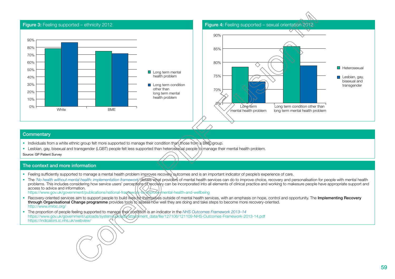

- Individuals from a white ethnic group felt more supported to manage their condition than those from a BME group.
- Lesbian, gay, bisexual and transgender (LGBT) people felt less supported than heterosexual people to manage their mental health problem.

Source: GP Patient Survey

#### The context and more information

- Feeling sufficiently supported to manage a mental health problem improves recovery outcomes and is an important indicator of people's experience of care.
- The 'No health without mental health: implementation framework/details what providers of mental health services can do to improve choice, recovery and personalisation for people with mental health problems. This includes considering how service users' perceptions at recovery can be incorporated into all elements of clinical practice and working to makesure people have appropriate support and access to advice and information.

<https://www.gov.uk/government/publications/national-framework-to-improve-mental-health-and-wellbeing>

- Recovery-oriented services aim to support people to build lives for themselves outside of mental health services, with an emphasis on hope, control and opportunity. The Implementing Recovery through Organisational Change programme provides tools to assess how well they are doing and take steps to become more recovery-oriented. <http://www.imroc.org/>
- The proportion of people feeling supported to manage their condition is an indicator in the *NHS Outcomes Framework 2013–14* https://www.gov.uk/government/uploads/system**/6ploads/attach/**ment\_data/file/127106/121109-NHS-Outcomes-Framework-2013-14.pdf <https://indicators.ic.nhs.uk/webview/>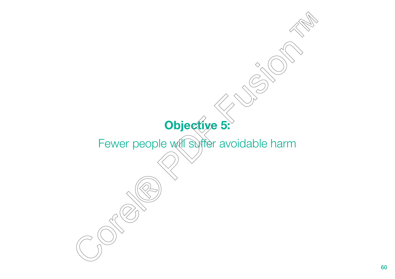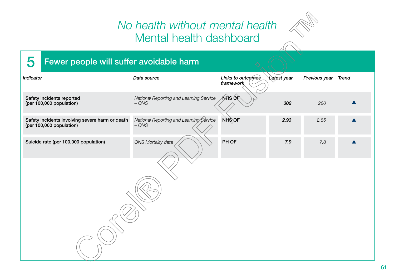## *No health without mental health* Mental health dashboard



## 5 Fewer people will suffer avoidable harm

| <b>Indicator</b>                                                            | Data source                                        | Links to outcomes<br>framework | Latest year | Previous year | <b>Trend</b> |
|-----------------------------------------------------------------------------|----------------------------------------------------|--------------------------------|-------------|---------------|--------------|
| Safety incidents reported<br>(per 100,000 population)                       | National Reporting and Learning Service<br>$-$ ONS | <b>NHS OF</b>                  | 302         | 280           |              |
| Safety incidents involving severe harm or death<br>(per 100,000 population) | National Reporting and Learning Service<br>$-$ ONS | NHS OF                         | 2.93        | 2.85          |              |
| Suicide rate (per 100,000 population)                                       | ONS Mortality data                                 | PH OF                          | 7.9         | 7.8           |              |
|                                                                             |                                                    |                                |             |               |              |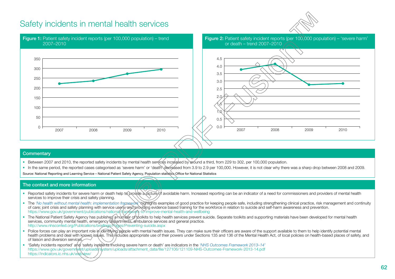## Safety incidents in mental health services





#### **Commentary**

- Between 2007 and 2010, the reported safety incidents by mental health services increased by around a third, from 229 to 302, per 100,000 population.
- In the same period, the reported cases categorised as 'severe harm' or 'death' decreased from 3.9 to 2.9 per 100,000. However, it is not clear why there was a sharp drop between 2008 and 2009. Source: National Reporting and Learning Service – National Patient Safety Agency, Population statistics Office for National Statistics

- Reported safety incidents for severe harm or death help to provide a picture of avoidable harm. Increased reporting can be an indicator of a need for commissioners and providers of mental health services to improve their crisis and safety planning.
- The 'No health without mental health: implementation framework highlights examples of good practice for keeping people safe, including strengthening clinical practice, risk management and continuity of care; joint crisis and safety planning with service users; and providing evidence based training for the workforce in relation to suicide and self-harm awareness and prevention. <https://www.gov.uk/government/publications/national-framework-to-improve-mental-health-and-wellbeing>
- The National Patient Safety Agency has published anumber of toolkits to help health services prevent suicide. Separate toolkits and supporting materials have been developed for mental health services, community mental health, emergency departments, ambulance services and general practice. <http://www.nhsconfed.org/Publications/briefings/Pages/Preventing-suicide.aspx>
- Police forces can play an important role in identifying people with mental health issues. They can make sure their officers are aware of the support available to them to help identify potential mental health problems and deal with known issues. This includes appropriate use of their powers under Sections 135 and 136 of the Mental Health Act, of local policies on health-based places of safety, and of liaison and diversion services.
- 'Safety incidents reported' and 'safety incidents involving severe harm or death' are indicators in the *'NHS Outcomes Framework 2013–14'* https://www.gov.uk/governntent/uploads/system/uploads/attachment\_data/file/127106/121109-NHS-Outcomes-Framework-2013-14.pdf <https://indicators.ic.nhs.uk/webview/>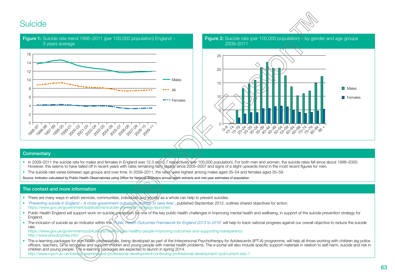## Suicide





#### **Commentary**

- In 2009–2011 the suicide rate for males and females in England was 12.3 and 3.7 respectively per 100,000 population). For both men and women, the suicide rates fell since about 1998–2000. However, this seems to have tailed off in recent years with rates remaining fairly steady since 2005–2007 and signs of a slight upwards trend in the most recent figures for men.
- The suicide rate varies between age groups and over time. In 2009–2011, the rates were highest among males aged 35–54 and females aged 35–59.

Source: Indicator calculated by Public Health Observatories using Office for National Statistics annual death extracts and mid-year estimates of population

#### The context and more information

- There are many ways in which services, communities, individuals and society as a whole can help to prevent suicides.
- *'Preventing suicide in England A cross-government outcomes strategy to save lives'*, published September 2012, outlines shared objectives for action. <https://www.gov.uk/government/publications/suicide-prevention-strategy-launched>
- Public Health England will support work on suicide prevention, as one of the key public health challenges in improving mental health and wellbeing, in support of the suicide prevention strategy for England.
- The inclusion of suicide as an indicator within the *Public Health Outcomes Framework for England 2013 to 2016'* will help to track national progress against our overall objective to reduce the suicide rate. <https://www.gov.uk/government/publications/healthy-lives-healthy-people-improving-outcomes-and-supporting-transparency>

<http://www.phoutcomes.info/>

• The e-learning packages for pon-health professionals, being developed as part of the Interpersonal Psychotherapy for Adolescents (IPT-A) programme, will help all those working with children (eg police officers, teachers, GPs) recognise and support children and young people with mental health problems. The e-portal will also include specific support materials in relation to self-harm, suicide and risk in children and young people. The e-learning packages are expected to launch in spring 2014. <http://www.rcpch.ac.uk/training-examinations-professional-development/continuing-professional-development-cpd/current-edu-1>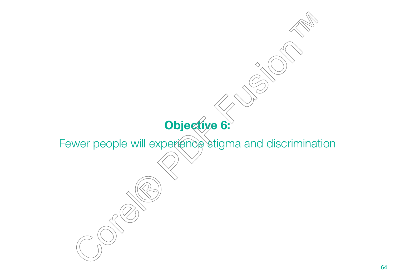# $\Diamond$ **Objective 6:**  Fewer people will experience stigma and discrimination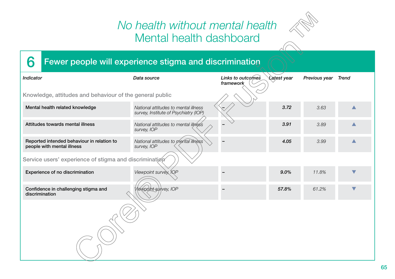## *No health without mental health* Mental health dashboard



## 6 Fewer people will experience stigma and discrimination

| Indicator                                                                | Data source                                                                   | Links to outcomes<br>framework | <b>Latest year</b> | Previous year | <b>Trend</b> |
|--------------------------------------------------------------------------|-------------------------------------------------------------------------------|--------------------------------|--------------------|---------------|--------------|
| Knowledge, attitudes and behaviour of the general public                 |                                                                               |                                |                    |               |              |
| Mental health related knowledge                                          | National attitudes to mental illness<br>survey, Institute of Psychiatry (IOP) |                                | 3.72               | 3.63          |              |
| Attitudes towards mental illness                                         | National attitudes to mental illness<br>survey, IOP                           |                                | 3.91               | 3.89          |              |
| Reported intended behaviour in relation to<br>people with mental illness | National attitudes to mental illness<br>survey, IOP                           |                                | 4.05               | 3.99          |              |
| Service users' experience of stigma and discrimination                   |                                                                               |                                |                    |               |              |
| Experience of no discrimination                                          | Viewpoint survey, IQP                                                         |                                | 9.0%               | 11.8%         |              |
| Confidence in challenging stigma and<br>discrimination                   | lewpoint survey, IOP                                                          |                                | 57.8%              | 61.2%         |              |
|                                                                          |                                                                               |                                |                    |               |              |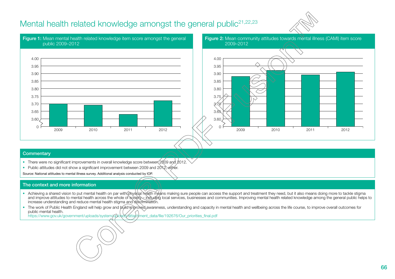## Mental health related knowledge amongst the general public<sup>21,[22,23](#page-73-0)</sup>







#### **Commentary**

- There were no significant improvements in overall knowledge score between 2009 and 2012.
- Public attitudes did not show a significant improvement between 2009 and 2012, either.

Source: National attitudes to mental illness survey. Additional analysis conducted by IOP.

#### The context and more information

- Achieving a shared vision to put mental health on par with physical health means making sure people can access the support and treatment they need, but it also means doing more to tackle stigma and improve attitudes to mental health across the whole of society including local services, businesses and communities. Improving mental health related knowledge among the general public helps to increase understanding and reduce mental health stigma and discrimination.
- The work of Public Health England will help grow and build improved awareness, understanding and capacity in mental health and wellbeing across the life course, to improve overall outcomes for public mental health.

[https://www.gov.uk/government/uploads/system/uploads/attachment\\_data/file/192676/Our\\_priorities\\_final.pdf](https://www.gov.uk/government/uploads/system/uploads/attachment_data/file/192676/Our_priorities_final.pdf)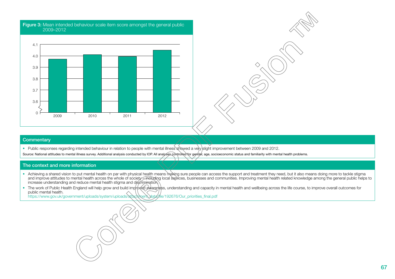

• Public responses regarding intended behaviour in relation to people with mental illness showed a very slight improvement between 2009 and 2012.

Source: National attitudes to mental illness survey. Additional analysis conducted by IOP. All analyses controlled for gender, age, socioeconomic status and familiarity with mental health problems.

#### The context and more information

- Achieving a shared vision to put mental health on par with physical health means making sure people can access the support and treatment they need, but it also means doing more to tackle stigma and improve attitudes to mental health across the whole of society – including local services, businesses and communities. Improving mental health related knowledge among the general public helps to increase understanding and reduce mental health stigma and discrimination.
- The work of Public Health England will help grow and build improved awareness, understanding and capacity in mental health and wellbeing across the life course, to improve overall outcomes for public mental health.

[https://www.gov.uk/government/uploads/system/uploads/attachment\\_data/file/192676/Our\\_priorities\\_final.pdf](https://www.gov.uk/government/uploads/system/uploads/attachment_data/file/192676/Our_priorities_final.pdf)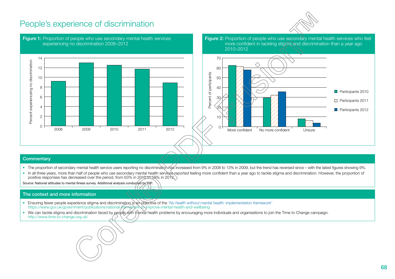## People's experience of discrimination





#### **Commentary**

- The proportion of secondary mental health service users reporting no discrimination has increased from 9% in 2008 to 13% in 2009, but the trend has reversed since with the latest figures showing 9%.
- In all three years, more than half of people who use secondary mental health services reported feeling more confident than a year ago to tackle stigma and discrimination. However, the proportion of positive responses has decreased over the period, from 63% in 2010 to 58% in 2012.

Source: National attitudes to mental illness survey. Additional analysis conducted by IOP.

- Ensuring fewer people experience stigma and discrimination is an objective of the *'No health without mental health: implementation framework'* <https://www.gov.uk/government/publications/national-framework-to-improve-mental-health-and-wellbeing>
- We can tackle stigma and discrimination faced by people with mental health problems by encouraging more individuals and organisations to join the Time to Change campaign. <http://www.time-to-change.org.uk/>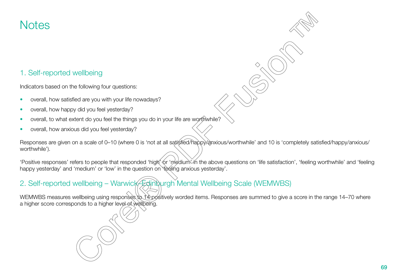## **Notes**

## 1. Self-reported wellbeing

Indicators based on the following four questions:

- overall, how satisfied are you with your life nowadays?
- overall, how happy did you feel yesterday?
- overall, to what extent do you feel the things you do in your life are worthwhile?
- overall, how anxious did you feel yesterday?

Responses are given on a scale of 0–10 (where 0 is 'not at all satisfied/happy/anxious/worthwhile' and 10 is 'completely satisfied/happy/anxious/ worthwhile').

'Positive responses' refers to people that responded 'higk' or 'medium' in the above questions on 'life satisfaction', 'feeling worthwhile' and 'feeling happy yesterday' and 'medium' or 'low' in the question on 'feeling anxious yesterday'.

## 2. Self-reported wellbeing – Warwick–Edinburgh Mental Wellbeing Scale (WEMWBS)

WEMWBS measures wellbeing using responses to 14 positively worded items. Responses are summed to give a score in the range 14–70 where a higher score corresponds to a higher level of wellbeing.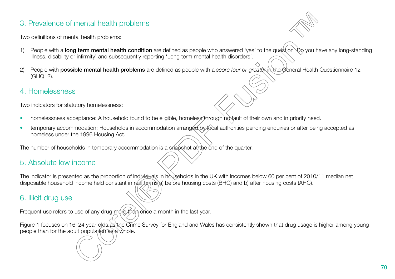## 3. Prevalence of mental health problems

Two definitions of mental health problems:

- People with a long term mental health condition are defined as people who answered 'yes' to the question 'Do you have any long-standing illness, disability or infirmity' and subsequently reporting 'Long term mental health disorders'.
- 2) People with **possible mental health problems** are defined as people with a *score four or greater* in the General Health Questionnaire 12 (GHQ12).

## 4. Homelessness

Two indicators for statutory homelessness:

- homelessness acceptance: A household found to be eligible, homeless through no fault of their own and in priority need.
- temporary accommodation: Households in accommodation arranged by focal authorities pending enquiries or after being accepted as homeless under the 1996 Housing Act.

The number of households in temporary accommodation is a snapshot at the end of the quarter.

## 5. Absolute low income

The indicator is presented as the proportion of individuals in households in the UK with incomes below 60 per cent of 2010/11 median net disposable household income held constant in real terms a) before housing costs (BHC) and b) after housing costs (AHC).

## 6. Illicit drug use

Frequent use refers to use of any drug more than once a month in the last year.

Figure 1 focuses on 16–24 year-olds as the Crime Survey for England and Wales has consistently shown that drug usage is higher among young people than for the adult population as a whole.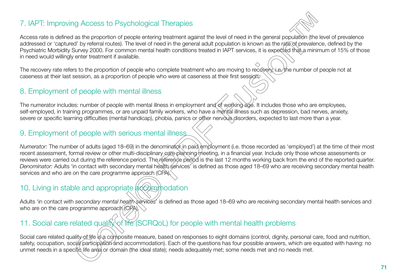## 7. IAPT: Improving Access to Psychological Therapies

Access rate is defined as the proportion of people entering treatment against the level of need in the general population (the level of prevalence addressed or 'captured' by referral routes). The level of need in the general adult population is known as the rate of prevalence, defined by the Psychiatric Morbidity Survey 2000. For common mental health conditions treated in IAPT services, it is expected that a minimum of 15% of those in need would willingly enter treatment if available.

The recovery rate refers to the proportion of people who complete treatment who are moving to recovery, i.e. the number of people not at caseness at their last session, as a proportion of people who were at caseness at their first session.

## 8. Employment of people with mental illness

The numerator includes: number of people with mental illness in employment and of working age. It includes those who are employees, self-employed, in training programmes, or are unpaid family workers, who have a mental illness such as depression, bad nerves, anxiety, severe or specific learning difficulties (mental handicap), phobia, panics or other nervous disorders, expected to last more than a year.

## 9. Employment of people with serious mental illness

*Numerator:* The number of adults (aged 18–69) in the denominator in paid employment (i.e. those recorded as 'employed') at the time of their most recent assessment, formal review or other multi-disciplinary care planning/meeting, in a financial year. Include only those whose assessments or reviews were carried out during the reference period. The reference period is the last 12 months working back from the end of the reported quarter. *Denominator:* Adults 'in contact with secondary mental health services' is defined as those aged 18–69 who are receiving secondary mental health services and who are on the care programme approach (CPA).

## 10. Living in stable and appropriate  $\frac{1}{2}$ commodation

Adults 'in contact with *secondary mental health services*' is defined as those aged 18–69 who are receiving secondary mental health services and who are on the care programme approach (CPA).

## 11. Social care related quality of life (SCRQoL) for people with mental health problems

Social care related quality of life is a composite measure, based on responses to eight domains (control, dignity, personal care, food and nutrition, safety, occupation, social participation and accommodation). Each of the questions has four possible answers, which are equated with having: no unmet needs in a specific life area or domain (the ideal state); needs adequately met; some needs met and no needs met.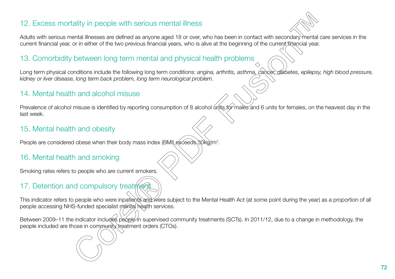## <span id="page-71-0"></span>12. Excess mortality in people with serious mental illness

Adults with serious mental illnesses are defined as anyone aged 18 or over, who has been in contact with secondary mental care services in the current financial year, or in either of the two previous financial years, who is alive at the beginning of the current financial year.

## 13. Comorbidity between long term mental and physical health problems

Long term physical conditions include the following long term conditions: *angina, arthritis, asthma, cancer, diabetes, epilepsy, high blood pressure, kidney or liver disease, long term back problem, long term neurological problem.*

## 14. Mental health and alcohol misuse

Prevalence of alcohol misuse is identified by reporting consumption of 8 alcohol units for males and 6 units for females, on the heaviest day in the last week.

## 15. Mental health and obesity

People are considered obese when their body mass index (BMI) exceeds 30kg/m<sup>2</sup>.

## 16. Mental health and smoking

Smoking rates refers to people who are current smokers.

## 17. Detention and compulsory treatment

This indicator refers to people who were inpatients and were subject to the Mental Health Act (at some point during the year) as a proportion of all people accessing NHS-funded specialist mental health services.

Between 2009–11 the indicator includes people in supervised community treatments (SCTs). In 2011/12, due to a change in methodology, the people included are those in community treatment orders (CTOs).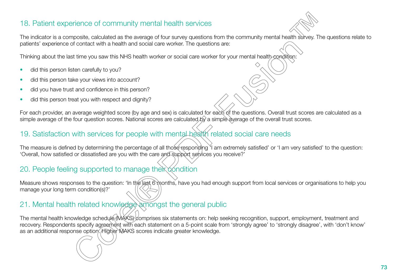## 18. Patient experience of community mental health services

The indicator is a composite, calculated as the average of four survey questions from the community mental health survey. The questions relate to patients' experience of contact with a health and social care worker. The questions are:

Thinking about the last time you saw this NHS health worker or social care worker for your mental health condition:

- did this person listen carefully to you?
- did this person take your views into account?
- did you have trust and confidence in this person?
- did this person treat you with respect and dignity?

For each provider, an average weighted score (by age and sex) is calculated for each of the questions. Overall trust scores are calculated as a simple average of the four question scores. National scores are calculated by a simple average of the overall trust scores.

## 19. Satisfaction with services for people with mental health related social care needs

The measure is defined by determining the percentage of all those responding <sup>Y</sup>I am extremely satisfied' or 'I am very satisfied' to the question: 'Overall, how satisfied or dissatisfied are you with the care and support services you receive?'

#### 20. People feeling supported to manage their condition

Measure shows responses to the question: 'In the last 6 months, have you had enough support from local services or organisations to help you manage your long term condition(s)?'

# 21. Mental health related knowledge amongst the general public

The mental health knowledge schedule (MAKS) comprises six statements on: help seeking recognition, support, employment, treatment and recovery. Respondents specify agreement with each statement on a 5-point scale from 'strongly agree' to 'strongly disagree', with 'don't know' as an additional response option. Higher MAKS scores indicate greater knowledge.